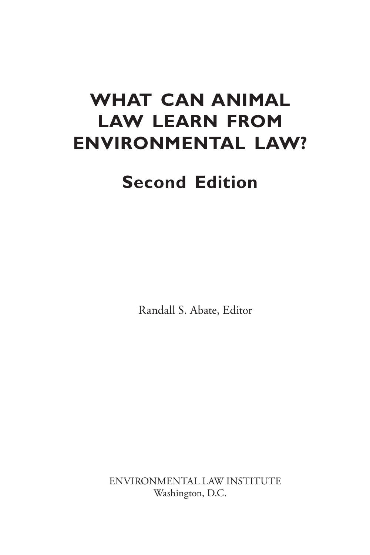# **WHAT CAN ANIMAL LAW LEARN FROM ENVIRONMENTAL LAW?**

# **Second Edition**

Randall S. Abate, Editor

ENVIRONMENTAL LAW INSTITUTE Washington, D.C.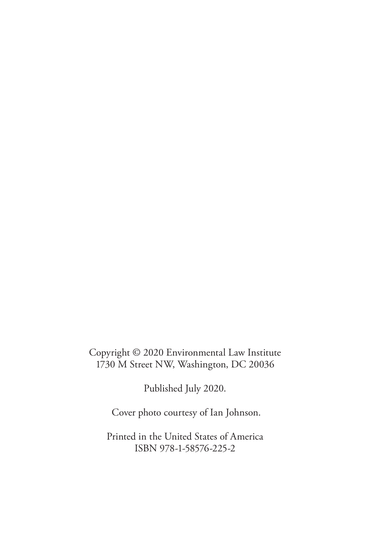Copyright © 2020 Environmental Law Institute 1730 M Street NW, Washington, DC 20036

Published July 2020.

Cover photo courtesy of Ian Johnson.

Printed in the United States of America ISBN 978-1-58576-225-2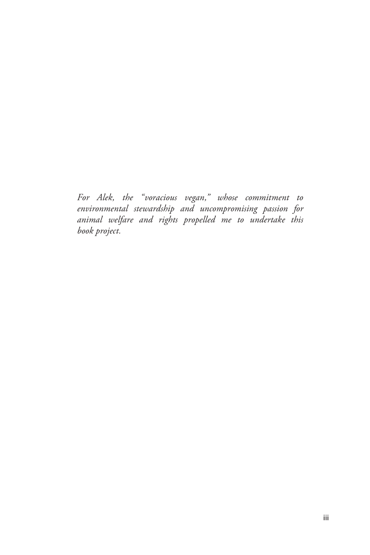*For Alek, the "voracious vegan," whose commitment to environmental stewardship and uncompromising passion for animal welfare and rights propelled me to undertake this book project.*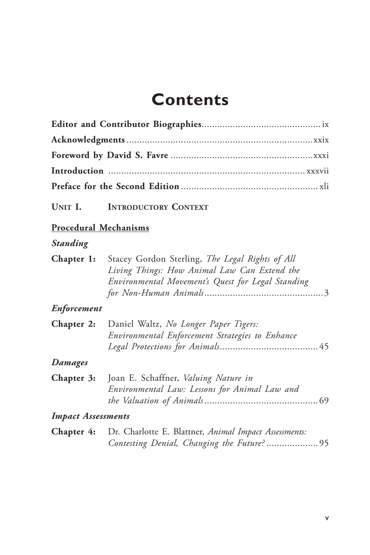# **Contents**

| UNIT I.                      | <b>INTRODUCTORY CONTEXT</b>                                                                                                                          |
|------------------------------|------------------------------------------------------------------------------------------------------------------------------------------------------|
| <b>Procedural Mechanisms</b> |                                                                                                                                                      |
| <b>Standing</b>              |                                                                                                                                                      |
| Chapter 1:                   | Stacey Gordon Sterling, The Legal Rights of All<br>Living Things: How Animal Law Can Extend the<br>Environmental Movement's Quest for Legal Standing |
| <b>Enforcement</b>           |                                                                                                                                                      |
| Chapter 2:                   | Daniel Waltz, No Longer Paper Tigers:<br>Environmental Enforcement Strategies to Enhance                                                             |
| Damages                      |                                                                                                                                                      |
| Chapter 3:                   | Joan E. Schaffner, Valuing Nature in<br>Environmental Law: Lessons for Animal Law and                                                                |
| <b>Impact Assessments</b>    |                                                                                                                                                      |
| Chapter 4:                   | Dr. Charlotte E. Blattner, Animal Impact Assessments:<br>Contesting Denial, Changing the Future?95                                                   |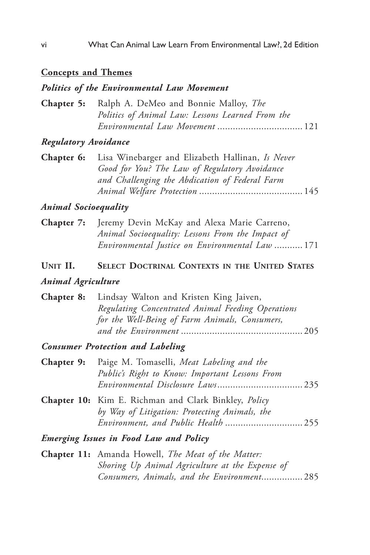#### **Concepts and Themes**

#### *Politics of the Environmental Law Movement*

| <b>Chapter 5:</b> Ralph A. DeMeo and Bonnie Malloy, <i>The</i> |
|----------------------------------------------------------------|
| Politics of Animal Law: Lessons Learned From the               |
|                                                                |

#### *Regulatory Avoidance*

| <b>Chapter 6:</b> Lisa Winebarger and Elizabeth Hallinan, Is Never |
|--------------------------------------------------------------------|
| Good for You? The Law of Regulatory Avoidance                      |
| and Challenging the Abdication of Federal Farm                     |
|                                                                    |

#### *Animal Socioequality*

| <b>Chapter 7:</b> Jeremy Devin McKay and Alexa Marie Carreno, |
|---------------------------------------------------------------|
| Animal Socioequality: Lessons From the Impact of              |
| Environmental Justice on Environmental Law  171               |

#### **Unit II. Select Doctrinal Contexts in the United States**

#### *Animal Agriculture*

| <b>Chapter 8:</b> Lindsay Walton and Kristen King Jaiven, |
|-----------------------------------------------------------|
| Regulating Concentrated Animal Feeding Operations         |
| for the Well-Being of Farm Animals, Consumers,            |
|                                                           |

#### *Consumer Protection and Labeling*

| <b>Chapter 9:</b> Paige M. Tomaselli, Meat Labeling and the |
|-------------------------------------------------------------|
| Public's Right to Know: Important Lessons From              |
|                                                             |
|                                                             |

**Chapter 10:** Kim E. Richman and Clark Binkley, *Policy by Way of Litigation: Protecting Animals, the Environment, and Public Health* .............................. 255

*Emerging Issues in Food Law and Policy*

**Chapter 11:** Amanda Howell, *The Meat of the Matter: Shoring Up Animal Agriculture at the Expense of Consumers, Animals, and the Environment*................ 285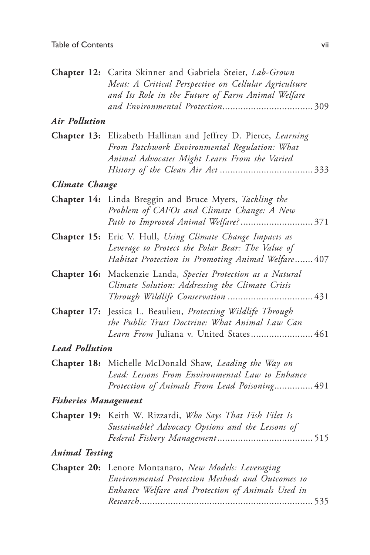|                       | Chapter 12: Carita Skinner and Gabriela Steier, Lab-Grown<br>Meat: A Critical Perspective on Cellular Agriculture<br>and Its Role in the Future of Farm Animal Welfare |
|-----------------------|------------------------------------------------------------------------------------------------------------------------------------------------------------------------|
| <b>Air Pollution</b>  |                                                                                                                                                                        |
|                       | Chapter 13: Elizabeth Hallinan and Jeffrey D. Pierce, Learning<br>From Patchwork Environmental Regulation: What<br>Animal Advocates Might Learn From the Varied        |
| <b>Climate Change</b> |                                                                                                                                                                        |
|                       | Chapter 14: Linda Breggin and Bruce Myers, Tackling the<br>Problem of CAFOs and Climate Change: A New                                                                  |
|                       | Chapter 15: Eric V. Hull, Using Climate Change Impacts as<br>Leverage to Protect the Polar Bear: The Value of<br>Habitat Protection in Promoting Animal Welfare 407    |
| Chapter 16:           | Mackenzie Landa, Species Protection as a Natural<br>Climate Solution: Addressing the Climate Crisis                                                                    |
| Chapter 17:           | Jessica L. Beaulieu, Protecting Wildlife Through<br>the Public Trust Doctrine: What Animal Law Can<br>Learn From Juliana v. United States 461                          |
| <b>Lead Pollution</b> |                                                                                                                                                                        |
|                       | Chapter 18: Michelle McDonald Shaw, Leading the Way on<br>Lead: Lessons From Environmental Law to Enhance<br>Protection of Animals From Lead Poisoning 491             |
|                       | <b>Fisheries Management</b>                                                                                                                                            |
|                       | Chapter 19: Keith W. Rizzardi, Who Says That Fish Filet Is<br>Sustainable? Advocacy Options and the Lessons of                                                         |
| <b>Animal Testing</b> |                                                                                                                                                                        |
|                       | Chapter 20: Lenore Montanaro, New Models: Leveraging<br>Environmental Protection Methods and Outcomes to<br>Enhance Welfare and Protection of Animals Used in          |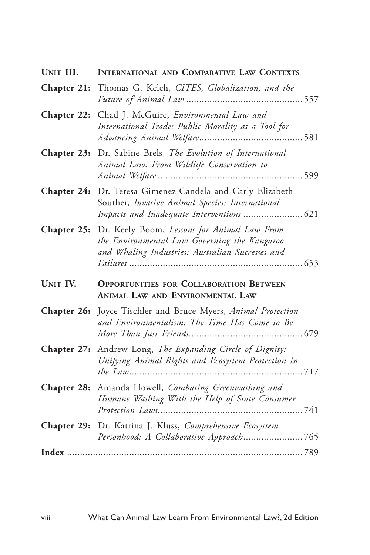| UNIT III.       | <b>INTERNATIONAL AND COMPARATIVE LAW CONTEXTS</b>                                                                                                           |
|-----------------|-------------------------------------------------------------------------------------------------------------------------------------------------------------|
|                 | Chapter 21: Thomas G. Kelch, CITES, Globalization, and the                                                                                                  |
|                 | Chapter 22: Chad J. McGuire, Environmental Law and<br>International Trade: Public Morality as a Tool for                                                    |
|                 | Chapter 23: Dr. Sabine Brels, The Evolution of International<br>Animal Law: From Wildlife Conservation to                                                   |
| Chapter 24:     | Dr. Teresa Gimenez-Candela and Carly Elizabeth<br>Souther, Invasive Animal Species: International                                                           |
|                 | Chapter 25: Dr. Keely Boom, Lessons for Animal Law From<br>the Environmental Law Governing the Kangaroo<br>and Whaling Industries: Australian Successes and |
| <b>UNIT IV.</b> | <b>OPPORTUNITIES FOR COLLABORATION BETWEEN</b><br>ANIMAL LAW AND ENVIRONMENTAL LAW                                                                          |
| Chapter 26:     | Joyce Tischler and Bruce Myers, Animal Protection<br>and Environmentalism: The Time Has Come to Be                                                          |
|                 | Chapter 27: Andrew Long, The Expanding Circle of Dignity:<br>Unifying Animal Rights and Ecosystem Protection in                                             |
|                 | Chapter 28: Amanda Howell, Combating Greenwashing and<br>Humane Washing With the Help of State Consumer                                                     |
|                 | Chapter 29: Dr. Katrina J. Kluss, Comprehensive Ecosystem<br>Personhood: A Collaborative Approach765                                                        |
|                 |                                                                                                                                                             |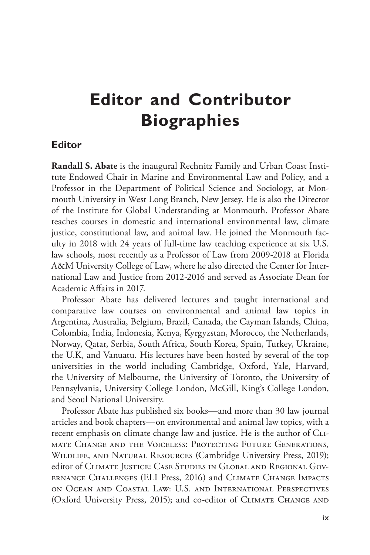# **Editor and Contributor Biographies**

#### **Editor**

**Randall S. Abate** is the inaugural Rechnitz Family and Urban Coast Institute Endowed Chair in Marine and Environmental Law and Policy, and a Professor in the Department of Political Science and Sociology, at Monmouth University in West Long Branch, New Jersey. He is also the Director of the Institute for Global Understanding at Monmouth. Professor Abate teaches courses in domestic and international environmental law, climate justice, constitutional law, and animal law. He joined the Monmouth faculty in 2018 with 24 years of full-time law teaching experience at six U.S. law schools, most recently as a Professor of Law from 2009-2018 at Florida A&M University College of Law, where he also directed the Center for International Law and Justice from 2012-2016 and served as Associate Dean for Academic Affairs in 2017.

Professor Abate has delivered lectures and taught international and comparative law courses on environmental and animal law topics in Argentina, Australia, Belgium, Brazil, Canada, the Cayman Islands, China, Colombia, India, Indonesia, Kenya, Kyrgyzstan, Morocco, the Netherlands, Norway, Qatar, Serbia, South Africa, South Korea, Spain, Turkey, Ukraine, the U.K, and Vanuatu. His lectures have been hosted by several of the top universities in the world including Cambridge, Oxford, Yale, Harvard, the University of Melbourne, the University of Toronto, the University of Pennsylvania, University College London, McGill, King's College London, and Seoul National University.

Professor Abate has published six books—and more than 30 law journal articles and book chapters—on environmental and animal law topics, with a recent emphasis on climate change law and justice. He is the author of CLImate Change and the Voiceless: Protecting Future Generations, Wildlife, and Natural Resources (Cambridge University Press, 2019); editor of Climate Justice: Case Studies in Global and Regional Governance Challenges (ELI Press, 2016) and Climate Change Impacts on Ocean and Coastal Law: U.S. and International Perspectives (Oxford University Press, 2015); and co-editor of CLIMATE CHANGE AND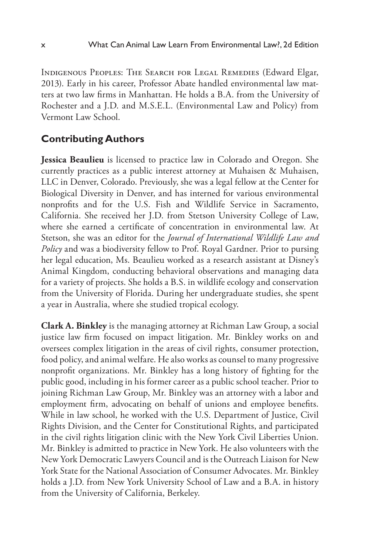Indigenous Peoples: The Search for Legal Remedies (Edward Elgar, 2013). Early in his career, Professor Abate handled environmental law matters at two law firms in Manhattan. He holds a B.A. from the University of Rochester and a J.D. and M.S.E.L. (Environmental Law and Policy) from Vermont Law School.

### **Contributing Authors**

**Jessica Beaulieu** is licensed to practice law in Colorado and Oregon. She currently practices as a public interest attorney at Muhaisen & Muhaisen, LLC in Denver, Colorado. Previously, she was a legal fellow at the Center for Biological Diversity in Denver, and has interned for various environmental nonprofits and for the U.S. Fish and Wildlife Service in Sacramento, California. She received her J.D. from Stetson University College of Law, where she earned a certificate of concentration in environmental law. At Stetson, she was an editor for the *Journal of International Wildlife Law and Policy* and was a biodiversity fellow to Prof. Royal Gardner. Prior to pursing her legal education, Ms. Beaulieu worked as a research assistant at Disney's Animal Kingdom, conducting behavioral observations and managing data for a variety of projects. She holds a B.S. in wildlife ecology and conservation from the University of Florida. During her undergraduate studies, she spent a year in Australia, where she studied tropical ecology.

**Clark A. Binkley** is the managing attorney at Richman Law Group, a social justice law firm focused on impact litigation. Mr. Binkley works on and oversees complex litigation in the areas of civil rights, consumer protection, food policy, and animal welfare. He also works as counsel to many progressive nonprofit organizations. Mr. Binkley has a long history of fighting for the public good, including in his former career as a public school teacher. Prior to joining Richman Law Group, Mr. Binkley was an attorney with a labor and employment firm, advocating on behalf of unions and employee benefits. While in law school, he worked with the U.S. Department of Justice, Civil Rights Division, and the Center for Constitutional Rights, and participated in the civil rights litigation clinic with the New York Civil Liberties Union. Mr. Binkley is admitted to practice in New York. He also volunteers with the New York Democratic Lawyers Council and is the Outreach Liaison for New York State for the National Association of Consumer Advocates. Mr. Binkley holds a J.D. from New York University School of Law and a B.A. in history from the University of California, Berkeley.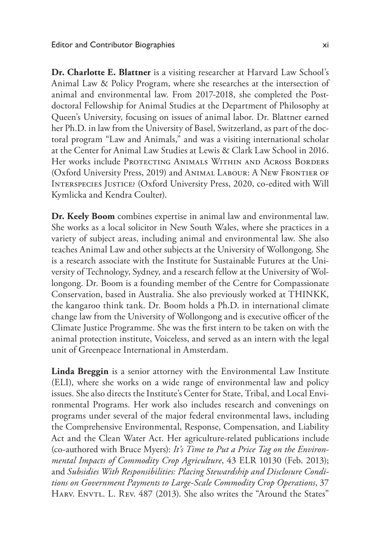**Dr. Charlotte E. Blattner** is a visiting researcher at Harvard Law School's Animal Law & Policy Program, where she researches at the intersection of animal and environmental law. From 2017-2018, she completed the Postdoctoral Fellowship for Animal Studies at the Department of Philosophy at Queen's University, focusing on issues of animal labor. Dr. Blattner earned her Ph.D. in law from the University of Basel, Switzerland, as part of the doctoral program "Law and Animals," and was a visiting international scholar at the Center for Animal Law Studies at Lewis & Clark Law School in 2016. Her works include Protecting Animals Within and Across Borders (Oxford University Press, 2019) and Animal Labour: A New Frontier of Interspecies Justice? (Oxford University Press, 2020, co-edited with Will Kymlicka and Kendra Coulter).

**Dr. Keely Boom** combines expertise in animal law and environmental law. She works as a local solicitor in New South Wales, where she practices in a variety of subject areas, including animal and environmental law. She also teaches Animal Law and other subjects at the University of Wollongong. She is a research associate with the Institute for Sustainable Futures at the University of Technology, Sydney, and a research fellow at the University of Wollongong. Dr. Boom is a founding member of the Centre for Compassionate Conservation, based in Australia. She also previously worked at THINKK, the kangaroo think tank. Dr. Boom holds a Ph.D. in international climate change law from the University of Wollongong and is executive officer of the Climate Justice Programme. She was the first intern to be taken on with the animal protection institute, Voiceless, and served as an intern with the legal unit of Greenpeace International in Amsterdam.

**Linda Breggin** is a senior attorney with the Environmental Law Institute (ELI), where she works on a wide range of environmental law and policy issues. She also directs the Institute's Center for State, Tribal, and Local Environmental Programs. Her work also includes research and convenings on programs under several of the major federal environmental laws, including the Comprehensive Environmental, Response, Compensation, and Liability Act and the Clean Water Act. Her agriculture-related publications include (co-authored with Bruce Myers): *It's Time to Put a Price Tag on the Environmental Impacts of Commodity Crop Agriculture*, 43 ELR 10130 (Feb. 2013); and *Subsidies With Responsibilities: Placing Stewardship and Disclosure Conditions on Government Payments to Large-Scale Commodity Crop Operations*, 37 HARV. ENVTL. L. REV. 487 (2013). She also writes the "Around the States"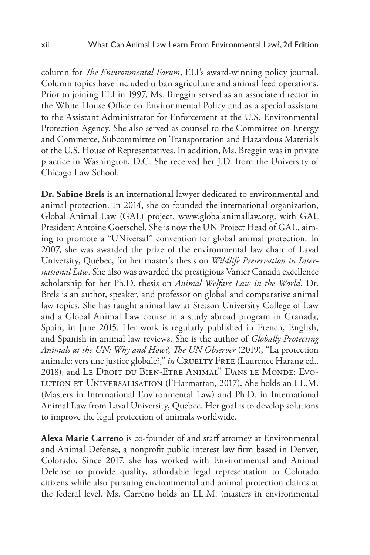column for *The Environmental Forum*, ELI's award-winning policy journal. Column topics have included urban agriculture and animal feed operations. Prior to joining ELI in 1997, Ms. Breggin served as an associate director in the White House Office on Environmental Policy and as a special assistant to the Assistant Administrator for Enforcement at the U.S. Environmental Protection Agency. She also served as counsel to the Committee on Energy and Commerce, Subcommittee on Transportation and Hazardous Materials of the U.S. House of Representatives. In addition, Ms. Breggin was in private practice in Washington, D.C. She received her J.D. from the University of Chicago Law School.

**Dr. Sabine Brels** is an international lawyer dedicated to environmental and animal protection. In 2014, she co-founded the international organization, Global Animal Law (GAL) project, www.globalanimallaw.org, with GAL President Antoine Goetschel. She is now the UN Project Head of GAL, aiming to promote a "UNiversal" convention for global animal protection. In 2007, she was awarded the prize of the environmental law chair of Laval University, Québec, for her master's thesis on *Wildlife Preservation in International Law*. She also was awarded the prestigious Vanier Canada excellence scholarship for her Ph.D. thesis on *Animal Welfare Law in the World*. Dr. Brels is an author, speaker, and professor on global and comparative animal law topics. She has taught animal law at Stetson University College of Law and a Global Animal Law course in a study abroad program in Granada, Spain, in June 2015. Her work is regularly published in French, English, and Spanish in animal law reviews. She is the author of *Globally Protecting Animals at the UN: Why and How?*, *The UN Observer* (2019), "La protection animale: vers une justice globale?," *in* CRUELTY FREE (Laurence Harang ed., 2018), and Le Droit du Bien-Etre Animal" Dans le Monde: Evolution et Universalisation (l'Harmattan, 2017). She holds an LL.M. (Masters in International Environmental Law) and Ph.D. in International Animal Law from Laval University, Quebec. Her goal is to develop solutions to improve the legal protection of animals worldwide.

**Alexa Marie Carreno** is co-founder of and staff attorney at Environmental and Animal Defense, a nonprofit public interest law firm based in Denver, Colorado. Since 2017, she has worked with Environmental and Animal Defense to provide quality, affordable legal representation to Colorado citizens while also pursuing environmental and animal protection claims at the federal level. Ms. Carreno holds an LL.M. (masters in environmental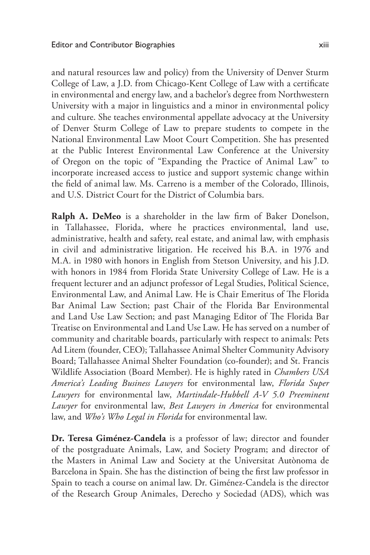and natural resources law and policy) from the University of Denver Sturm College of Law, a J.D. from Chicago-Kent College of Law with a certificate in environmental and energy law, and a bachelor's degree from Northwestern University with a major in linguistics and a minor in environmental policy and culture. She teaches environmental appellate advocacy at the University of Denver Sturm College of Law to prepare students to compete in the National Environmental Law Moot Court Competition. She has presented at the Public Interest Environmental Law Conference at the University of Oregon on the topic of "Expanding the Practice of Animal Law" to incorporate increased access to justice and support systemic change within the field of animal law. Ms. Carreno is a member of the Colorado, Illinois, and U.S. District Court for the District of Columbia bars.

**Ralph A. DeMeo** is a shareholder in the law firm of Baker Donelson, in Tallahassee, Florida, where he practices environmental, land use, administrative, health and safety, real estate, and animal law, with emphasis in civil and administrative litigation. He received his B.A. in 1976 and M.A. in 1980 with honors in English from Stetson University, and his J.D. with honors in 1984 from Florida State University College of Law. He is a frequent lecturer and an adjunct professor of Legal Studies, Political Science, Environmental Law, and Animal Law. He is Chair Emeritus of The Florida Bar Animal Law Section; past Chair of the Florida Bar Environmental and Land Use Law Section; and past Managing Editor of The Florida Bar Treatise on Environmental and Land Use Law. He has served on a number of community and charitable boards, particularly with respect to animals: Pets Ad Litem (founder, CEO); Tallahassee Animal Shelter Community Advisory Board; Tallahassee Animal Shelter Foundation (co-founder); and St. Francis Wildlife Association (Board Member). He is highly rated in *Chambers USA America's Leading Business Lawyers* for environmental law, *Florida Super Lawyers* for environmental law, *Martindale-Hubbell A-V 5.0 Preeminent Lawyer* for environmental law, *Best Lawyers in America* for environmental law, and *Who's Who Legal in Florida* for environmental law.

**Dr. Teresa Giménez-Candela** is a professor of law; director and founder of the postgraduate Animals, Law, and Society Program; and director of the Masters in Animal Law and Society at the Universitat Autònoma de Barcelona in Spain. She has the distinction of being the first law professor in Spain to teach a course on animal law. Dr. Giménez-Candela is the director of the Research Group Animales, Derecho y Sociedad (ADS), which was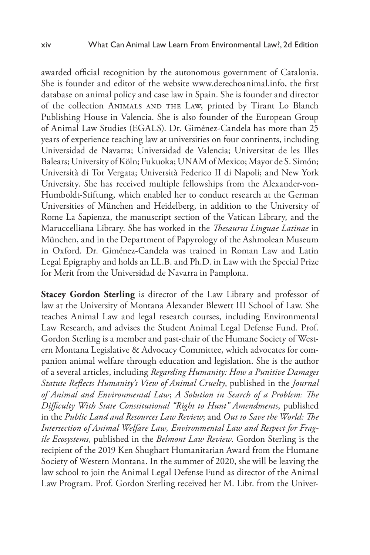awarded official recognition by the autonomous government of Catalonia. She is founder and editor of the website www.derechoanimal.info, the first database on animal policy and case law in Spain. She is founder and director of the collection Animals and the Law, printed by Tirant Lo Blanch Publishing House in Valencia. She is also founder of the European Group of Animal Law Studies (EGALS). Dr. Giménez-Candela has more than 25 years of experience teaching law at universities on four continents, including Universidad de Navarra; Universidad de Valencia; Universitat de les Illes Balears; University of Köln; Fukuoka; UNAM of Mexico; Mayor de S. Simón; Università di Tor Vergata; Università Federico II di Napoli; and New York University. She has received multiple fellowships from the Alexander-von-Humboldt-Stiftung, which enabled her to conduct research at the German Universities of München and Heidelberg, in addition to the University of Rome La Sapienza, the manuscript section of the Vatican Library, and the Maruccelliana Library. She has worked in the *Thesaurus Linguae Latinae* in München, and in the Department of Papyrology of the Ashmolean Museum in Oxford. Dr. Giménez-Candela was trained in Roman Law and Latin Legal Epigraphy and holds an LL.B. and Ph.D. in Law with the Special Prize for Merit from the Universidad de Navarra in Pamplona.

**Stacey Gordon Sterling** is director of the Law Library and professor of law at the University of Montana Alexander Blewett III School of Law. She teaches Animal Law and legal research courses, including Environmental Law Research, and advises the Student Animal Legal Defense Fund. Prof. Gordon Sterling is a member and past-chair of the Humane Society of Western Montana Legislative & Advocacy Committee, which advocates for companion animal welfare through education and legislation. She is the author of a several articles, including *Regarding Humanity: How a Punitive Damages Statute Reflects Humanity's View of Animal Cruelty*, published in the *Journal of Animal and Environmental Law*; *A Solution in Search of a Problem: The Difficulty With State Constitutional "Right to Hunt" Amendments*, published in the *Public Land and Resources Law Review*; and *Out to Save the World: The Intersection of Animal Welfare Law, Environmental Law and Respect for Fragile Ecosystems*, published in the *Belmont Law Review*. Gordon Sterling is the recipient of the 2019 Ken Shughart Humanitarian Award from the Humane Society of Western Montana. In the summer of 2020, she will be leaving the law school to join the Animal Legal Defense Fund as director of the Animal Law Program. Prof. Gordon Sterling received her M. Libr. from the Univer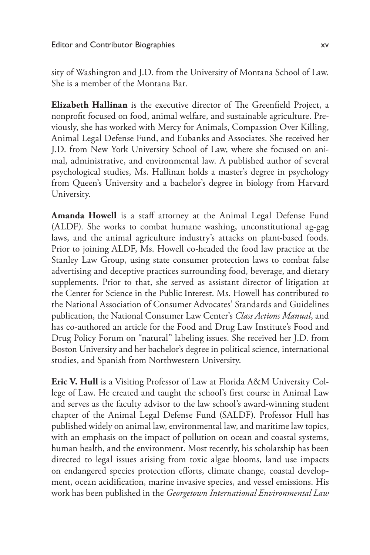sity of Washington and J.D. from the University of Montana School of Law. She is a member of the Montana Bar.

**Elizabeth Hallinan** is the executive director of The Greenfield Project, a nonprofit focused on food, animal welfare, and sustainable agriculture. Previously, she has worked with Mercy for Animals, Compassion Over Killing, Animal Legal Defense Fund, and Eubanks and Associates. She received her J.D. from New York University School of Law, where she focused on animal, administrative, and environmental law. A published author of several psychological studies, Ms. Hallinan holds a master's degree in psychology from Queen's University and a bachelor's degree in biology from Harvard University.

**Amanda Howell** is a staff attorney at the Animal Legal Defense Fund (ALDF). She works to combat humane washing, unconstitutional ag-gag laws, and the animal agriculture industry's attacks on plant-based foods. Prior to joining ALDF, Ms. Howell co-headed the food law practice at the Stanley Law Group, using state consumer protection laws to combat false advertising and deceptive practices surrounding food, beverage, and dietary supplements. Prior to that, she served as assistant director of litigation at the Center for Science in the Public Interest. Ms. Howell has contributed to the National Association of Consumer Advocates' Standards and Guidelines publication, the National Consumer Law Center's *Class Actions Manual*, and has co-authored an article for the Food and Drug Law Institute's Food and Drug Policy Forum on "natural" labeling issues. She received her J.D. from Boston University and her bachelor's degree in political science, international studies, and Spanish from Northwestern University.

**Eric V. Hull** is a Visiting Professor of Law at Florida A&M University College of Law. He created and taught the school's first course in Animal Law and serves as the faculty advisor to the law school's award-winning student chapter of the Animal Legal Defense Fund (SALDF). Professor Hull has published widely on animal law, environmental law, and maritime law topics, with an emphasis on the impact of pollution on ocean and coastal systems, human health, and the environment. Most recently, his scholarship has been directed to legal issues arising from toxic algae blooms, land use impacts on endangered species protection efforts, climate change, coastal development, ocean acidification, marine invasive species, and vessel emissions. His work has been published in the *Georgetown International Environmental Law*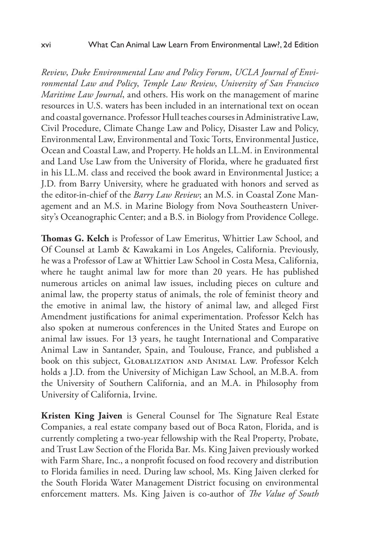*Review*, *Duke Environmental Law and Policy Forum*, *UCLA Journal of Environmental Law and Policy*, *Temple Law Review*, *University of San Francisco Maritime Law Journal*, and others. His work on the management of marine resources in U.S. waters has been included in an international text on ocean and coastal governance. Professor Hull teaches courses in Administrative Law, Civil Procedure, Climate Change Law and Policy, Disaster Law and Policy, Environmental Law, Environmental and Toxic Torts, Environmental Justice, Ocean and Coastal Law, and Property. He holds an LL.M. in Environmental and Land Use Law from the University of Florida, where he graduated first in his LL.M. class and received the book award in Environmental Justice; a J.D. from Barry University, where he graduated with honors and served as the editor-in-chief of the *Barry Law Review*; an M.S. in Coastal Zone Management and an M.S. in Marine Biology from Nova Southeastern University's Oceanographic Center; and a B.S. in Biology from Providence College.

**Thomas G. Kelch** is Professor of Law Emeritus, Whittier Law School, and Of Counsel at Lamb & Kawakami in Los Angeles, California. Previously, he was a Professor of Law at Whittier Law School in Costa Mesa, California, where he taught animal law for more than 20 years. He has published numerous articles on animal law issues, including pieces on culture and animal law, the property status of animals, the role of feminist theory and the emotive in animal law, the history of animal law, and alleged First Amendment justifications for animal experimentation. Professor Kelch has also spoken at numerous conferences in the United States and Europe on animal law issues. For 13 years, he taught International and Comparative Animal Law in Santander, Spain, and Toulouse, France, and published a book on this subject, Globalization and Animal Law. Professor Kelch holds a J.D. from the University of Michigan Law School, an M.B.A. from the University of Southern California, and an M.A. in Philosophy from University of California, Irvine.

**Kristen King Jaiven** is General Counsel for The Signature Real Estate Companies, a real estate company based out of Boca Raton, Florida, and is currently completing a two-year fellowship with the Real Property, Probate, and Trust Law Section of the Florida Bar. Ms. King Jaiven previously worked with Farm Share, Inc., a nonprofit focused on food recovery and distribution to Florida families in need. During law school, Ms. King Jaiven clerked for the South Florida Water Management District focusing on environmental enforcement matters. Ms. King Jaiven is co-author of *The Value of South*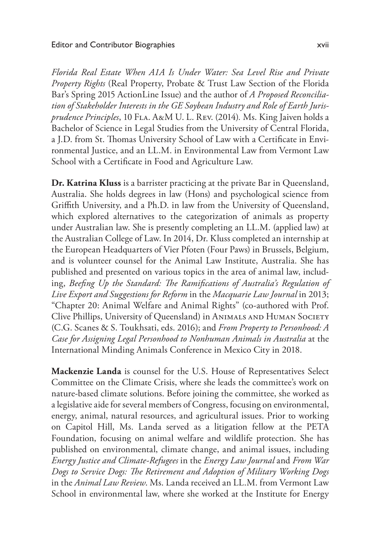*Florida Real Estate When A1A Is Under Water: Sea Level Rise and Private Property Rights* (Real Property, Probate & Trust Law Section of the Florida Bar's Spring 2015 ActionLine Issue) and the author of *A Proposed Reconciliation of Stakeholder Interests in the GE Soybean Industry and Role of Earth Jurisprudence Principles*, 10 Fla. A&M U. L. Rev. (2014)*.* Ms. King Jaiven holds a Bachelor of Science in Legal Studies from the University of Central Florida, a J.D. from St. Thomas University School of Law with a Certificate in Environmental Justice, and an LL.M. in Environmental Law from Vermont Law School with a Certificate in Food and Agriculture Law.

**Dr. Katrina Kluss** is a barrister practicing at the private Bar in Queensland, Australia. She holds degrees in law (Hons) and psychological science from Griffith University, and a Ph.D. in law from the University of Queensland, which explored alternatives to the categorization of animals as property under Australian law. She is presently completing an LL.M. (applied law) at the Australian College of Law. In 2014, Dr. Kluss completed an internship at the European Headquarters of Vier Pfoten (Four Paws) in Brussels, Belgium, and is volunteer counsel for the Animal Law Institute, Australia. She has published and presented on various topics in the area of animal law, including, *Beefing Up the Standard: The Ramifications of Australia's Regulation of Live Export and Suggestions for Reform* in the *Macquarie Law Journal* in 2013; "Chapter 20: Animal Welfare and Animal Rights" (co-authored with Prof. Clive Phillips, University of Queensland) in Animals and Human Society (C.G. Scanes & S. Toukhsati, eds. 2016); and *From Property to Personhood: A Case for Assigning Legal Personhood to Nonhuman Animals in Australia* at the International Minding Animals Conference in Mexico City in 2018.

**Mackenzie Landa** is counsel for the U.S. House of Representatives Select Committee on the Climate Crisis, where she leads the committee's work on nature-based climate solutions. Before joining the committee, she worked as a legislative aide for several members of Congress, focusing on environmental, energy, animal, natural resources, and agricultural issues. Prior to working on Capitol Hill, Ms. Landa served as a litigation fellow at the PETA Foundation, focusing on animal welfare and wildlife protection. She has published on environmental, climate change, and animal issues, including *Energy Justice and Climate-Refugees* in the *Energy Law Journal* and *From War Dogs to Service Dogs: The Retirement and Adoption of Military Working Dogs* in the *Animal Law Review*. Ms. Landa received an LL.M. from Vermont Law School in environmental law, where she worked at the Institute for Energy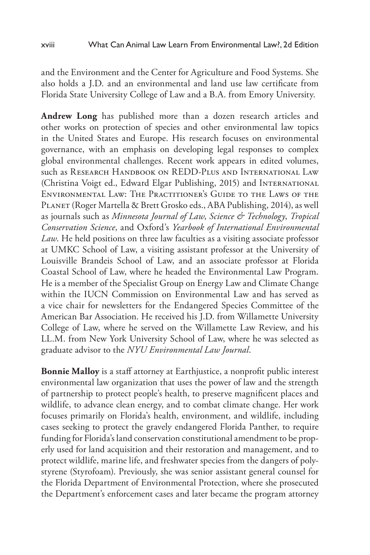and the Environment and the Center for Agriculture and Food Systems. She also holds a J.D. and an environmental and land use law certificate from Florida State University College of Law and a B.A. from Emory University.

**Andrew Long** has published more than a dozen research articles and other works on protection of species and other environmental law topics in the United States and Europe. His research focuses on environmental governance, with an emphasis on developing legal responses to complex global environmental challenges. Recent work appears in edited volumes, such as RESEARCH HANDBOOK ON REDD-PLUS AND INTERNATIONAL LAW (Christina Voigt ed., Edward Elgar Publishing, 2015) and International Environmental Law: The Practitioner's Guide to the Laws of the PLANET (Roger Martella & Brett Grosko eds., ABA Publishing, 2014), as well as journals such as *Minnesota Journal of Law*, *Science & Technology*, *Tropical Conservation Science*, and Oxford's *Yearbook of International Environmental Law*. He held positions on three law faculties as a visiting associate professor at UMKC School of Law, a visiting assistant professor at the University of Louisville Brandeis School of Law, and an associate professor at Florida Coastal School of Law, where he headed the Environmental Law Program. He is a member of the Specialist Group on Energy Law and Climate Change within the IUCN Commission on Environmental Law and has served as a vice chair for newsletters for the Endangered Species Committee of the American Bar Association. He received his J.D. from Willamette University College of Law, where he served on the Willamette Law Review, and his LL.M. from New York University School of Law, where he was selected as graduate advisor to the *NYU Environmental Law Journal*.

**Bonnie Malloy** is a staff attorney at Earthjustice, a nonprofit public interest environmental law organization that uses the power of law and the strength of partnership to protect people's health, to preserve magnificent places and wildlife, to advance clean energy, and to combat climate change. Her work focuses primarily on Florida's health, environment, and wildlife, including cases seeking to protect the gravely endangered Florida Panther, to require funding for Florida's land conservation constitutional amendment to be properly used for land acquisition and their restoration and management, and to protect wildlife, marine life, and freshwater species from the dangers of polystyrene (Styrofoam). Previously, she was senior assistant general counsel for the Florida Department of Environmental Protection, where she prosecuted the Department's enforcement cases and later became the program attorney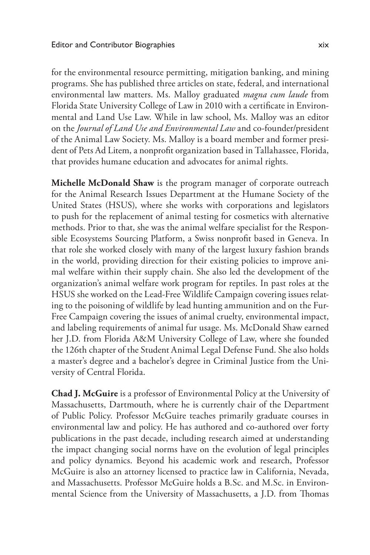for the environmental resource permitting, mitigation banking, and mining programs. She has published three articles on state, federal, and international environmental law matters. Ms. Malloy graduated *magna cum laude* from Florida State University College of Law in 2010 with a certificate in Environmental and Land Use Law. While in law school, Ms. Malloy was an editor on the *Journal of Land Use and Environmental Law* and co-founder/president of the Animal Law Society. Ms. Malloy is a board member and former president of Pets Ad Litem, a nonprofit organization based in Tallahassee, Florida, that provides humane education and advocates for animal rights.

**Michelle McDonald Shaw** is the program manager of corporate outreach for the Animal Research Issues Department at the Humane Society of the United States (HSUS), where she works with corporations and legislators to push for the replacement of animal testing for cosmetics with alternative methods. Prior to that, she was the animal welfare specialist for the Responsible Ecosystems Sourcing Platform, a Swiss nonprofit based in Geneva. In that role she worked closely with many of the largest luxury fashion brands in the world, providing direction for their existing policies to improve animal welfare within their supply chain. She also led the development of the organization's animal welfare work program for reptiles. In past roles at the HSUS she worked on the Lead-Free Wildlife Campaign covering issues relating to the poisoning of wildlife by lead hunting ammunition and on the Fur-Free Campaign covering the issues of animal cruelty, environmental impact, and labeling requirements of animal fur usage. Ms. McDonald Shaw earned her J.D. from Florida A&M University College of Law, where she founded the 126th chapter of the Student Animal Legal Defense Fund. She also holds a master's degree and a bachelor's degree in Criminal Justice from the University of Central Florida.

**Chad J. McGuire** is a professor of Environmental Policy at the University of Massachusetts, Dartmouth, where he is currently chair of the Department of Public Policy. Professor McGuire teaches primarily graduate courses in environmental law and policy. He has authored and co-authored over forty publications in the past decade, including research aimed at understanding the impact changing social norms have on the evolution of legal principles and policy dynamics. Beyond his academic work and research, Professor McGuire is also an attorney licensed to practice law in California, Nevada, and Massachusetts. Professor McGuire holds a B.Sc. and M.Sc. in Environmental Science from the University of Massachusetts, a J.D. from Thomas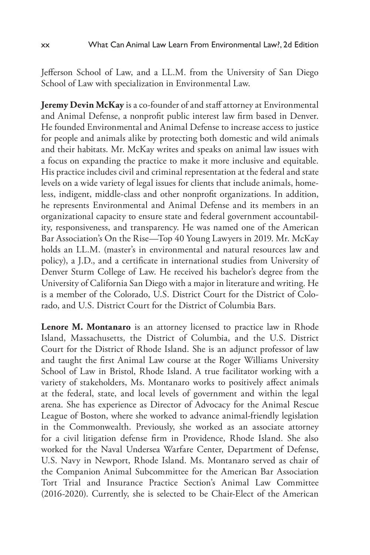Jefferson School of Law, and a LL.M. from the University of San Diego School of Law with specialization in Environmental Law.

**Jeremy Devin McKay** is a co-founder of and staff attorney at Environmental and Animal Defense, a nonprofit public interest law firm based in Denver. He founded Environmental and Animal Defense to increase access to justice for people and animals alike by protecting both domestic and wild animals and their habitats. Mr. McKay writes and speaks on animal law issues with a focus on expanding the practice to make it more inclusive and equitable. His practice includes civil and criminal representation at the federal and state levels on a wide variety of legal issues for clients that include animals, homeless, indigent, middle-class and other nonprofit organizations. In addition, he represents Environmental and Animal Defense and its members in an organizational capacity to ensure state and federal government accountability, responsiveness, and transparency. He was named one of the American Bar Association's On the Rise—Top 40 Young Lawyers in 2019. Mr. McKay holds an LL.M. (master's in environmental and natural resources law and policy), a J.D., and a certificate in international studies from University of Denver Sturm College of Law. He received his bachelor's degree from the University of California San Diego with a major in literature and writing. He is a member of the Colorado, U.S. District Court for the District of Colorado, and U.S. District Court for the District of Columbia Bars.

**Lenore M. Montanaro** is an attorney licensed to practice law in Rhode Island, Massachusetts, the District of Columbia, and the U.S. District Court for the District of Rhode Island. She is an adjunct professor of law and taught the first Animal Law course at the Roger Williams University School of Law in Bristol, Rhode Island. A true facilitator working with a variety of stakeholders, Ms. Montanaro works to positively affect animals at the federal, state, and local levels of government and within the legal arena. She has experience as Director of Advocacy for the Animal Rescue League of Boston, where she worked to advance animal-friendly legislation in the Commonwealth. Previously, she worked as an associate attorney for a civil litigation defense firm in Providence, Rhode Island. She also worked for the Naval Undersea Warfare Center, Department of Defense, U.S. Navy in Newport, Rhode Island. Ms. Montanaro served as chair of the Companion Animal Subcommittee for the American Bar Association Tort Trial and Insurance Practice Section's Animal Law Committee (2016-2020). Currently, she is selected to be Chair-Elect of the American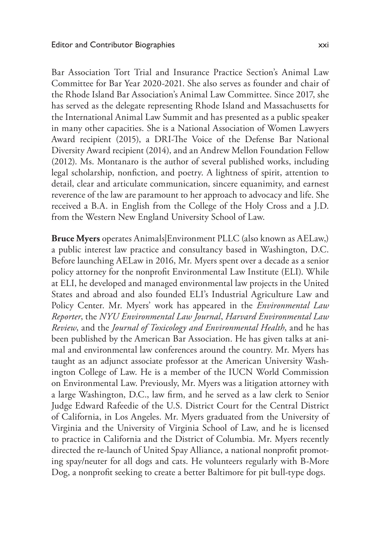Bar Association Tort Trial and Insurance Practice Section's Animal Law Committee for Bar Year 2020-2021. She also serves as founder and chair of the Rhode Island Bar Association's Animal Law Committee. Since 2017, she has served as the delegate representing Rhode Island and Massachusetts for the International Animal Law Summit and has presented as a public speaker in many other capacities. She is a National Association of Women Lawyers Award recipient (2015), a DRI-The Voice of the Defense Bar National Diversity Award recipient (2014), and an Andrew Mellon Foundation Fellow (2012). Ms. Montanaro is the author of several published works, including legal scholarship, nonfiction, and poetry. A lightness of spirit, attention to detail, clear and articulate communication, sincere equanimity, and earnest reverence of the law are paramount to her approach to advocacy and life. She received a B.A. in English from the College of the Holy Cross and a J.D. from the Western New England University School of Law.

**Bruce Myers** operates Animals|Environment PLLC (also known as AELaw,) a public interest law practice and consultancy based in Washington, D.C. Before launching AELaw in 2016, Mr. Myers spent over a decade as a senior policy attorney for the nonprofit Environmental Law Institute (ELI). While at ELI, he developed and managed environmental law projects in the United States and abroad and also founded ELI's Industrial Agriculture Law and Policy Center. Mr. Myers' work has appeared in the *Environmental Law Reporter*, the *NYU Environmental Law Journal*, *Harvard Environmental Law Review*, and the *Journal of Toxicology and Environmental Health*, and he has been published by the American Bar Association. He has given talks at animal and environmental law conferences around the country. Mr. Myers has taught as an adjunct associate professor at the American University Washington College of Law. He is a member of the IUCN World Commission on Environmental Law. Previously, Mr. Myers was a litigation attorney with a large Washington, D.C., law firm, and he served as a law clerk to Senior Judge Edward Rafeedie of the U.S. District Court for the Central District of California, in Los Angeles. Mr. Myers graduated from the University of Virginia and the University of Virginia School of Law, and he is licensed to practice in California and the District of Columbia. Mr. Myers recently directed the re-launch of United Spay Alliance, a national nonprofit promoting spay/neuter for all dogs and cats. He volunteers regularly with B-More Dog, a nonprofit seeking to create a better Baltimore for pit bull-type dogs.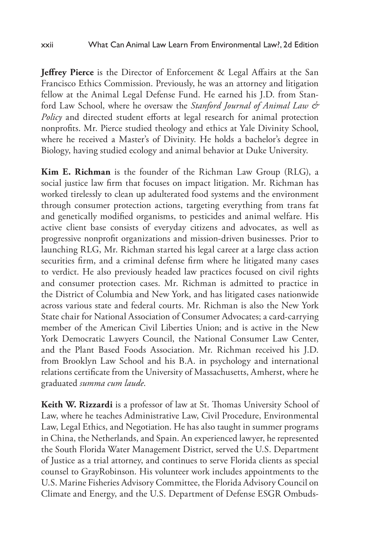**Jeffrey Pierce** is the Director of Enforcement & Legal Affairs at the San Francisco Ethics Commission. Previously, he was an attorney and litigation fellow at the Animal Legal Defense Fund. He earned his J.D. from Stanford Law School, where he oversaw the *Stanford Journal of Animal Law & Policy* and directed student efforts at legal research for animal protection nonprofits. Mr. Pierce studied theology and ethics at Yale Divinity School, where he received a Master's of Divinity. He holds a bachelor's degree in Biology, having studied ecology and animal behavior at Duke University.

**Kim E. Richman** is the founder of the Richman Law Group (RLG), a social justice law firm that focuses on impact litigation. Mr. Richman has worked tirelessly to clean up adulterated food systems and the environment through consumer protection actions, targeting everything from trans fat and genetically modified organisms, to pesticides and animal welfare. His active client base consists of everyday citizens and advocates, as well as progressive nonprofit organizations and mission-driven businesses. Prior to launching RLG, Mr. Richman started his legal career at a large class action securities firm, and a criminal defense firm where he litigated many cases to verdict. He also previously headed law practices focused on civil rights and consumer protection cases. Mr. Richman is admitted to practice in the District of Columbia and New York, and has litigated cases nationwide across various state and federal courts. Mr. Richman is also the New York State chair for National Association of Consumer Advocates; a card-carrying member of the American Civil Liberties Union; and is active in the New York Democratic Lawyers Council, the National Consumer Law Center, and the Plant Based Foods Association. Mr. Richman received his J.D. from Brooklyn Law School and his B.A. in psychology and international relations certificate from the University of Massachusetts, Amherst, where he graduated *summa cum laude*.

**Keith W. Rizzardi** is a professor of law at St. Thomas University School of Law, where he teaches Administrative Law, Civil Procedure, Environmental Law, Legal Ethics, and Negotiation. He has also taught in summer programs in China, the Netherlands, and Spain. An experienced lawyer, he represented the South Florida Water Management District, served the U.S. Department of Justice as a trial attorney, and continues to serve Florida clients as special counsel to GrayRobinson. His volunteer work includes appointments to the U.S. Marine Fisheries Advisory Committee, the Florida Advisory Council on Climate and Energy, and the U.S. Department of Defense ESGR Ombuds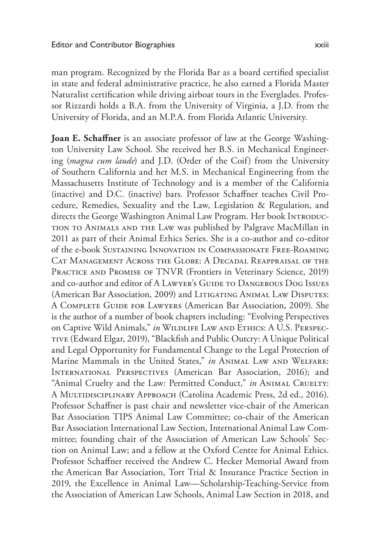man program. Recognized by the Florida Bar as a board certified specialist in state and federal administrative practice, he also earned a Florida Master Naturalist certification while driving airboat tours in the Everglades. Professor Rizzardi holds a B.A. from the University of Virginia, a J.D. from the University of Florida, and an M.P.A. from Florida Atlantic University.

**Joan E. Schaffner** is an associate professor of law at the George Washington University Law School. She received her B.S. in Mechanical Engineering (*magna cum laude*) and J.D. (Order of the Coif) from the University of Southern California and her M.S. in Mechanical Engineering from the Massachusetts Institute of Technology and is a member of the California (inactive) and D.C. (inactive) bars. Professor Schaffner teaches Civil Procedure, Remedies, Sexuality and the Law, Legislation & Regulation, and directs the George Washington Animal Law Program. Her book INTRODUCtion to Animals and the Law was published by Palgrave MacMillan in 2011 as part of their Animal Ethics Series. She is a co-author and co-editor of the e-book Sustaining Innovation in Compassionate Free-Roaming Cat Management Across the Globe: A Decadal Reappraisal of the PRACTICE AND PROMISE OF TNVR (Frontiers in Veterinary Science, 2019) and co-author and editor of A LAWYER's GUIDE TO DANGEROUS DOG ISSUES (American Bar Association, 2009) and Litigating Animal Law Disputes: A Complete Guide for Lawyers (American Bar Association, 2009). She is the author of a number of book chapters including: "Evolving Perspectives on Captive Wild Animals," in WILDLIFE LAW AND ETHICS: A U.S. PERSPECtive (Edward Elgar, 2019), "Blackfish and Public Outcry: A Unique Political and Legal Opportunity for Fundamental Change to the Legal Protection of Marine Mammals in the United States," *in* Animal Law and Welfare: International Perspectives (American Bar Association, 2016); and "Animal Cruelty and the Law: Permitted Conduct," *in* ANIMAL CRUELTY: A Multidisciplinary Approach (Carolina Academic Press, 2d ed., 2016). Professor Schaffner is past chair and newsletter vice-chair of the American Bar Association TIPS Animal Law Committee; co-chair of the American Bar Association International Law Section, International Animal Law Committee; founding chair of the Association of American Law Schools' Section on Animal Law; and a fellow at the Oxford Centre for Animal Ethics. Professor Schaffner received the Andrew C. Hecker Memorial Award from the American Bar Association, Tort Trial & Insurance Practice Section in 2019, the Excellence in Animal Law—Scholarship-Teaching-Service from the Association of American Law Schools, Animal Law Section in 2018, and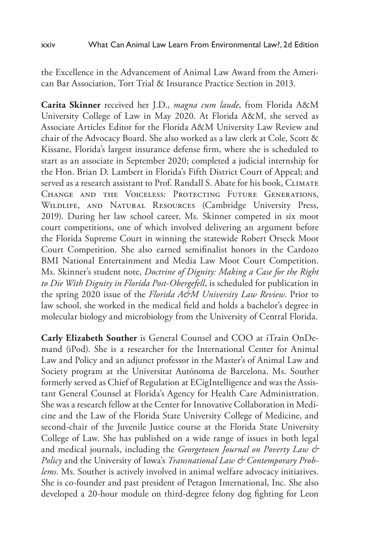the Excellence in the Advancement of Animal Law Award from the American Bar Association, Tort Trial & Insurance Practice Section in 2013.

**Carita Skinner** received her J.D., *magna cum laude*, from Florida A&M University College of Law in May 2020. At Florida A&M, she served as Associate Articles Editor for the Florida A&M University Law Review and chair of the Advocacy Board. She also worked as a law clerk at Cole, Scott & Kissane, Florida's largest insurance defense firm, where she is scheduled to start as an associate in September 2020; completed a judicial internship for the Hon. Brian D. Lambert in Florida's Fifth District Court of Appeal; and served as a research assistant to Prof. Randall S. Abate for his book, CLIMATE Change and the Voiceless: Protecting Future Generations, Wildlife, and Natural Resources (Cambridge University Press, 2019). During her law school career, Ms. Skinner competed in six moot court competitions, one of which involved delivering an argument before the Florida Supreme Court in winning the statewide Robert Orseck Moot Court Competition. She also earned semifinalist honors in the Cardozo BMI National Entertainment and Media Law Moot Court Competition. Ms. Skinner's student note, *Doctrine of Dignity: Making a Case for the Right to Die With Dignity in Florida Post-Obergefell*, is scheduled for publication in the spring 2020 issue of the *Florida A&M University Law Review*. Prior to law school, she worked in the medical field and holds a bachelor's degree in molecular biology and microbiology from the University of Central Florida.

**Carly Elizabeth Souther** is General Counsel and COO at iTrain OnDemand (iPod). She is a researcher for the International Center for Animal Law and Policy and an adjunct professor in the Master's of Animal Law and Society program at the Universitat Autónoma de Barcelona. Ms. Souther formerly served as Chief of Regulation at ECigIntelligence and was the Assistant General Counsel at Florida's Agency for Health Care Administration. She was a research fellow at the Center for Innovative Collaboration in Medicine and the Law of the Florida State University College of Medicine, and second-chair of the Juvenile Justice course at the Florida State University College of Law. She has published on a wide range of issues in both legal and medical journals, including the *Georgetown Journal on Poverty Law & Policy* and the University of Iowa's *Transnational Law & Contemporary Problems.* Ms. Souther is actively involved in animal welfare advocacy initiatives. She is co-founder and past president of Petagon International, Inc. She also developed a 20-hour module on third-degree felony dog fighting for Leon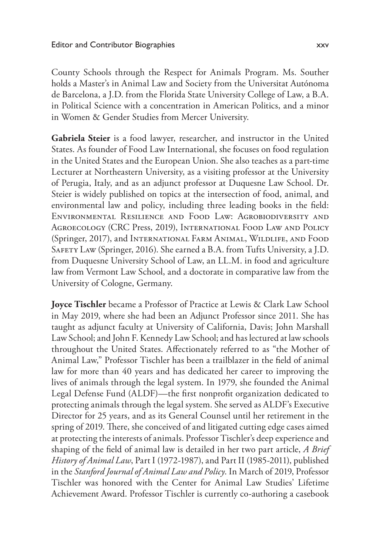County Schools through the Respect for Animals Program. Ms. Souther holds a Master's in Animal Law and Society from the Universitat Autónoma de Barcelona, a J.D. from the Florida State University College of Law, a B.A. in Political Science with a concentration in American Politics, and a minor in Women & Gender Studies from Mercer University.

**Gabriela Steier** is a food lawyer, researcher, and instructor in the United States. As founder of Food Law International, she focuses on food regulation in the United States and the European Union. She also teaches as a part-time Lecturer at Northeastern University, as a visiting professor at the University of Perugia, Italy, and as an adjunct professor at Duquesne Law School. Dr. Steier is widely published on topics at the intersection of food, animal, and environmental law and policy, including three leading books in the field: Environmental Resilience and Food Law: Agrobiodiversity and Agroecology (CRC Press, 2019), International Food Law and Policy (Springer, 2017), and International Farm Animal, Wildlife, and Food Safety Law (Springer, 2016). She earned a B.A. from Tufts University, a J.D. from Duquesne University School of Law, an LL.M. in food and agriculture law from Vermont Law School, and a doctorate in comparative law from the University of Cologne, Germany.

**Joyce Tischler** became a Professor of Practice at Lewis & Clark Law School in May 2019, where she had been an Adjunct Professor since 2011. She has taught as adjunct faculty at University of California, Davis; John Marshall Law School; and John F. Kennedy Law School; and has lectured at law schools throughout the United States. Affectionately referred to as "the Mother of Animal Law," Professor Tischler has been a trailblazer in the field of animal law for more than 40 years and has dedicated her career to improving the lives of animals through the legal system. In 1979, she founded the Animal Legal Defense Fund (ALDF)—the first nonprofit organization dedicated to protecting animals through the legal system. She served as ALDF's Executive Director for 25 years, and as its General Counsel until her retirement in the spring of 2019. There, she conceived of and litigated cutting edge cases aimed at protecting the interests of animals. Professor Tischler's deep experience and shaping of the field of animal law is detailed in her two part article, *A Brief History of Animal Law*, Part I (1972-1987), and Part II (1985-2011), published in the *Stanford Journal of Animal Law and Policy*. In March of 2019, Professor Tischler was honored with the Center for Animal Law Studies' Lifetime Achievement Award. Professor Tischler is currently co-authoring a casebook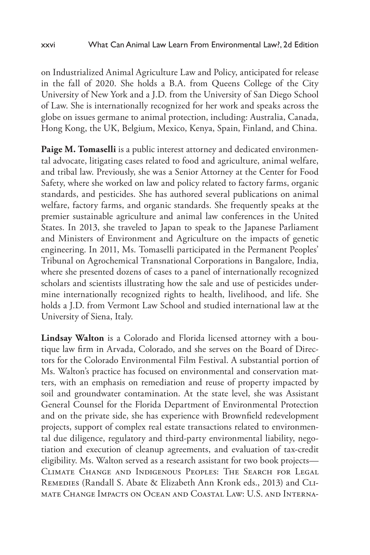on Industrialized Animal Agriculture Law and Policy, anticipated for release in the fall of 2020. She holds a B.A. from Queens College of the City University of New York and a J.D. from the University of San Diego School of Law. She is internationally recognized for her work and speaks across the globe on issues germane to animal protection, including: Australia, Canada, Hong Kong, the UK, Belgium, Mexico, Kenya, Spain, Finland, and China.

**Paige M. Tomaselli** is a public interest attorney and dedicated environmental advocate, litigating cases related to food and agriculture, animal welfare, and tribal law. Previously, she was a Senior Attorney at the Center for Food Safety, where she worked on law and policy related to factory farms, organic standards, and pesticides. She has authored several publications on animal welfare, factory farms, and organic standards. She frequently speaks at the premier sustainable agriculture and animal law conferences in the United States. In 2013, she traveled to Japan to speak to the Japanese Parliament and Ministers of Environment and Agriculture on the impacts of genetic engineering. In 2011, Ms. Tomaselli participated in the Permanent Peoples' Tribunal on Agrochemical Transnational Corporations in Bangalore, India, where she presented dozens of cases to a panel of internationally recognized scholars and scientists illustrating how the sale and use of pesticides undermine internationally recognized rights to health, livelihood, and life. She holds a J.D. from Vermont Law School and studied international law at the University of Siena, Italy.

**Lindsay Walton** is a Colorado and Florida licensed attorney with a boutique law firm in Arvada, Colorado, and she serves on the Board of Directors for the Colorado Environmental Film Festival. A substantial portion of Ms. Walton's practice has focused on environmental and conservation matters, with an emphasis on remediation and reuse of property impacted by soil and groundwater contamination. At the state level, she was Assistant General Counsel for the Florida Department of Environmental Protection and on the private side, she has experience with Brownfield redevelopment projects, support of complex real estate transactions related to environmental due diligence, regulatory and third-party environmental liability, negotiation and execution of cleanup agreements, and evaluation of tax-credit eligibility. Ms. Walton served as a research assistant for two book projects— Climate Change and Indigenous Peoples: The Search for Legal Remedies (Randall S. Abate & Elizabeth Ann Kronk eds., 2013) and Climate Change Impacts on Ocean and Coastal Law: U.S. and Interna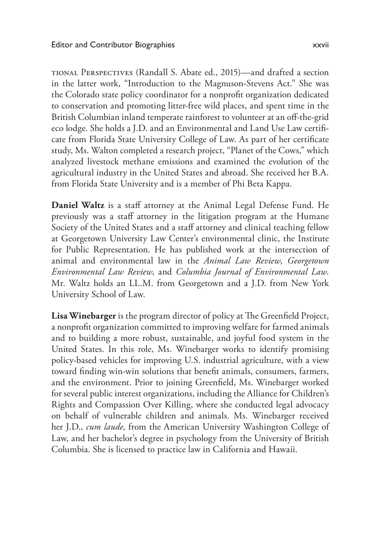tional Perspectives (Randall S. Abate ed., 2015)—and drafted a section in the latter work, "Introduction to the Magnuson-Stevens Act." She was the Colorado state policy coordinator for a nonprofit organization dedicated to conservation and promoting litter-free wild places, and spent time in the British Columbian inland temperate rainforest to volunteer at an off-the-grid eco lodge. She holds a J.D. and an Environmental and Land Use Law certificate from Florida State University College of Law. As part of her certificate study, Ms. Walton completed a research project, "Planet of the Cows," which analyzed livestock methane emissions and examined the evolution of the agricultural industry in the United States and abroad. She received her B.A. from Florida State University and is a member of Phi Beta Kappa.

**Daniel Waltz** is a staff attorney at the Animal Legal Defense Fund. He previously was a staff attorney in the litigation program at the Humane Society of the United States and a staff attorney and clinical teaching fellow at Georgetown University Law Center's environmental clinic, the Institute for Public Representation. He has published work at the intersection of animal and environmental law in the *Animal Law Review*, *Georgetown Environmental Law Review*, and *Columbia Journal of Environmental Law*. Mr. Waltz holds an LL.M. from Georgetown and a J.D. from New York University School of Law.

**Lisa Winebarger** is the program director of policy at The Greenfield Project, a nonprofit organization committed to improving welfare for farmed animals and to building a more robust, sustainable, and joyful food system in the United States. In this role, Ms. Winebarger works to identify promising policy-based vehicles for improving U.S. industrial agriculture, with a view toward finding win-win solutions that benefit animals, consumers, farmers, and the environment. Prior to joining Greenfield, Ms. Winebarger worked for several public interest organizations, including the Alliance for Children's Rights and Compassion Over Killing, where she conducted legal advocacy on behalf of vulnerable children and animals. Ms. Winebarger received her J.D., *cum laude*, from the American University Washington College of Law, and her bachelor's degree in psychology from the University of British Columbia. She is licensed to practice law in California and Hawaii.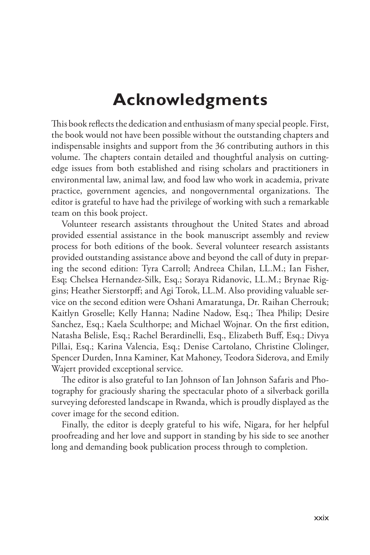## **Acknowledgments**

This book reflects the dedication and enthusiasm of many special people. First, the book would not have been possible without the outstanding chapters and indispensable insights and support from the 36 contributing authors in this volume. The chapters contain detailed and thoughtful analysis on cuttingedge issues from both established and rising scholars and practitioners in environmental law, animal law, and food law who work in academia, private practice, government agencies, and nongovernmental organizations. The editor is grateful to have had the privilege of working with such a remarkable team on this book project.

Volunteer research assistants throughout the United States and abroad provided essential assistance in the book manuscript assembly and review process for both editions of the book. Several volunteer research assistants provided outstanding assistance above and beyond the call of duty in preparing the second edition: Tyra Carroll; Andreea Chilan, LL.M.; Ian Fisher, Esq; Chelsea Hernandez-Silk, Esq.; Soraya Ridanovic, LL.M.; Brynae Riggins; Heather Sierstorpff; and Agi Torok, LL.M. Also providing valuable service on the second edition were Oshani Amaratunga, Dr. Raihan Cherrouk; Kaitlyn Groselle; Kelly Hanna; Nadine Nadow, Esq.; Thea Philip; Desire Sanchez, Esq.; Kaela Sculthorpe; and Michael Wojnar. On the first edition, Natasha Belisle, Esq.; Rachel Berardinelli, Esq., Elizabeth Buff, Esq.; Divya Pillai, Esq.; Karina Valencia, Esq.; Denise Cartolano, Christine Clolinger, Spencer Durden, Inna Kaminer, Kat Mahoney, Teodora Siderova, and Emily Wajert provided exceptional service.

The editor is also grateful to Ian Johnson of Ian Johnson Safaris and Photography for graciously sharing the spectacular photo of a silverback gorilla surveying deforested landscape in Rwanda, which is proudly displayed as the cover image for the second edition.

Finally, the editor is deeply grateful to his wife, Nigara, for her helpful proofreading and her love and support in standing by his side to see another long and demanding book publication process through to completion.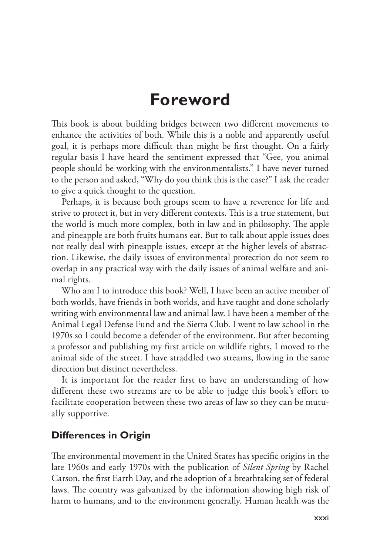## **Foreword**

This book is about building bridges between two different movements to enhance the activities of both. While this is a noble and apparently useful goal, it is perhaps more difficult than might be first thought. On a fairly regular basis I have heard the sentiment expressed that "Gee, you animal people should be working with the environmentalists." I have never turned to the person and asked, "Why do you think this is the case?" I ask the reader to give a quick thought to the question.

Perhaps, it is because both groups seem to have a reverence for life and strive to protect it, but in very different contexts. This is a true statement, but the world is much more complex, both in law and in philosophy. The apple and pineapple are both fruits humans eat. But to talk about apple issues does not really deal with pineapple issues, except at the higher levels of abstraction. Likewise, the daily issues of environmental protection do not seem to overlap in any practical way with the daily issues of animal welfare and animal rights.

Who am I to introduce this book? Well, I have been an active member of both worlds, have friends in both worlds, and have taught and done scholarly writing with environmental law and animal law. I have been a member of the Animal Legal Defense Fund and the Sierra Club. I went to law school in the 1970s so I could become a defender of the environment. But after becoming a professor and publishing my first article on wildlife rights, I moved to the animal side of the street. I have straddled two streams, flowing in the same direction but distinct nevertheless.

It is important for the reader first to have an understanding of how different these two streams are to be able to judge this book's effort to facilitate cooperation between these two areas of law so they can be mutually supportive.

### **Differences in Origin**

The environmental movement in the United States has specific origins in the late 1960s and early 1970s with the publication of *Silent Spring* by Rachel Carson, the first Earth Day, and the adoption of a breathtaking set of federal laws. The country was galvanized by the information showing high risk of harm to humans, and to the environment generally. Human health was the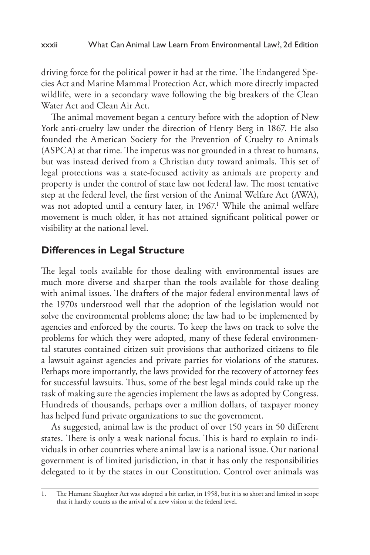driving force for the political power it had at the time. The Endangered Species Act and Marine Mammal Protection Act, which more directly impacted wildlife, were in a secondary wave following the big breakers of the Clean Water Act and Clean Air Act.

The animal movement began a century before with the adoption of New York anti-cruelty law under the direction of Henry Berg in 1867. He also founded the American Society for the Prevention of Cruelty to Animals (ASPCA) at that time. The impetus was not grounded in a threat to humans, but was instead derived from a Christian duty toward animals. This set of legal protections was a state-focused activity as animals are property and property is under the control of state law not federal law. The most tentative step at the federal level, the first version of the Animal Welfare Act (AWA), was not adopted until a century later, in 1967.<sup>1</sup> While the animal welfare movement is much older, it has not attained significant political power or visibility at the national level.

### **Differences in Legal Structure**

The legal tools available for those dealing with environmental issues are much more diverse and sharper than the tools available for those dealing with animal issues. The drafters of the major federal environmental laws of the 1970s understood well that the adoption of the legislation would not solve the environmental problems alone; the law had to be implemented by agencies and enforced by the courts. To keep the laws on track to solve the problems for which they were adopted, many of these federal environmental statutes contained citizen suit provisions that authorized citizens to file a lawsuit against agencies and private parties for violations of the statutes. Perhaps more importantly, the laws provided for the recovery of attorney fees for successful lawsuits. Thus, some of the best legal minds could take up the task of making sure the agencies implement the laws as adopted by Congress. Hundreds of thousands, perhaps over a million dollars, of taxpayer money has helped fund private organizations to sue the government.

As suggested, animal law is the product of over 150 years in 50 different states. There is only a weak national focus. This is hard to explain to individuals in other countries where animal law is a national issue. Our national government is of limited jurisdiction, in that it has only the responsibilities delegated to it by the states in our Constitution. Control over animals was

<sup>1.</sup> The Humane Slaughter Act was adopted a bit earlier, in 1958, but it is so short and limited in scope that it hardly counts as the arrival of a new vision at the federal level.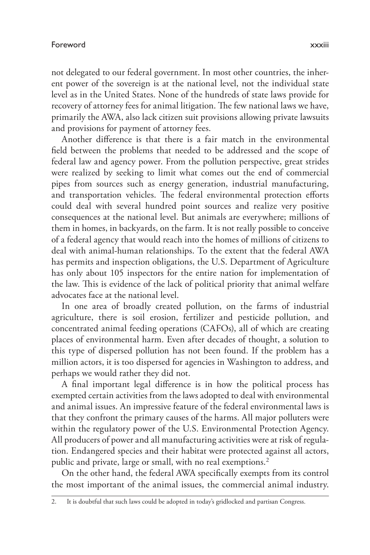not delegated to our federal government. In most other countries, the inherent power of the sovereign is at the national level, not the individual state level as in the United States. None of the hundreds of state laws provide for recovery of attorney fees for animal litigation. The few national laws we have, primarily the AWA, also lack citizen suit provisions allowing private lawsuits and provisions for payment of attorney fees.

Another difference is that there is a fair match in the environmental field between the problems that needed to be addressed and the scope of federal law and agency power. From the pollution perspective, great strides were realized by seeking to limit what comes out the end of commercial pipes from sources such as energy generation, industrial manufacturing, and transportation vehicles. The federal environmental protection efforts could deal with several hundred point sources and realize very positive consequences at the national level. But animals are everywhere; millions of them in homes, in backyards, on the farm. It is not really possible to conceive of a federal agency that would reach into the homes of millions of citizens to deal with animal-human relationships. To the extent that the federal AWA has permits and inspection obligations, the U.S. Department of Agriculture has only about 105 inspectors for the entire nation for implementation of the law. This is evidence of the lack of political priority that animal welfare advocates face at the national level.

In one area of broadly created pollution, on the farms of industrial agriculture, there is soil erosion, fertilizer and pesticide pollution, and concentrated animal feeding operations (CAFOs), all of which are creating places of environmental harm. Even after decades of thought, a solution to this type of dispersed pollution has not been found. If the problem has a million actors, it is too dispersed for agencies in Washington to address, and perhaps we would rather they did not.

A final important legal difference is in how the political process has exempted certain activities from the laws adopted to deal with environmental and animal issues. An impressive feature of the federal environmental laws is that they confront the primary causes of the harms. All major polluters were within the regulatory power of the U.S. Environmental Protection Agency. All producers of power and all manufacturing activities were at risk of regulation. Endangered species and their habitat were protected against all actors, public and private, large or small, with no real exemptions.<sup>2</sup>

On the other hand, the federal AWA specifically exempts from its control the most important of the animal issues, the commercial animal industry.

<sup>2.</sup> It is doubtful that such laws could be adopted in today's gridlocked and partisan Congress.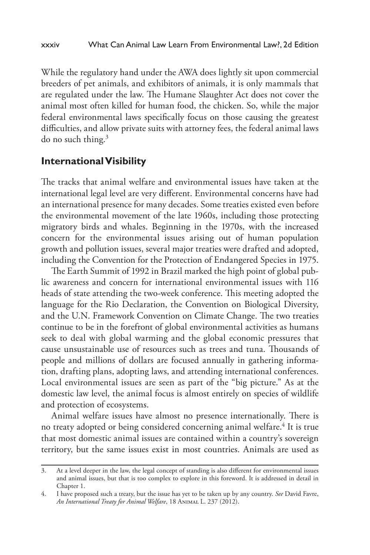While the regulatory hand under the AWA does lightly sit upon commercial breeders of pet animals, and exhibitors of animals, it is only mammals that are regulated under the law. The Humane Slaughter Act does not cover the animal most often killed for human food, the chicken. So, while the major federal environmental laws specifically focus on those causing the greatest difficulties, and allow private suits with attorney fees, the federal animal laws do no such thing.3

### **International Visibility**

The tracks that animal welfare and environmental issues have taken at the international legal level are very different. Environmental concerns have had an international presence for many decades. Some treaties existed even before the environmental movement of the late 1960s, including those protecting migratory birds and whales. Beginning in the 1970s, with the increased concern for the environmental issues arising out of human population growth and pollution issues, several major treaties were drafted and adopted, including the Convention for the Protection of Endangered Species in 1975.

The Earth Summit of 1992 in Brazil marked the high point of global public awareness and concern for international environmental issues with 116 heads of state attending the two-week conference. This meeting adopted the language for the Rio Declaration, the Convention on Biological Diversity, and the U.N. Framework Convention on Climate Change. The two treaties continue to be in the forefront of global environmental activities as humans seek to deal with global warming and the global economic pressures that cause unsustainable use of resources such as trees and tuna. Thousands of people and millions of dollars are focused annually in gathering information, drafting plans, adopting laws, and attending international conferences. Local environmental issues are seen as part of the "big picture." As at the domestic law level, the animal focus is almost entirely on species of wildlife and protection of ecosystems.

Animal welfare issues have almost no presence internationally. There is no treaty adopted or being considered concerning animal welfare.<sup>4</sup> It is true that most domestic animal issues are contained within a country's sovereign territory, but the same issues exist in most countries. Animals are used as

<sup>3.</sup> At a level deeper in the law, the legal concept of standing is also different for environmental issues and animal issues, but that is too complex to explore in this foreword. It is addressed in detail in Chapter 1.

<sup>4.</sup> I have proposed such a treaty, but the issue has yet to be taken up by any country. *See* David Favre, *An International Treaty for Animal Welfare*, 18 Animal L. 237 (2012).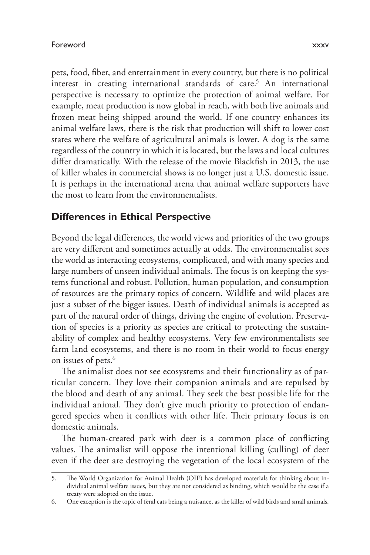pets, food, fiber, and entertainment in every country, but there is no political interest in creating international standards of care.<sup>5</sup> An international perspective is necessary to optimize the protection of animal welfare. For example, meat production is now global in reach, with both live animals and frozen meat being shipped around the world. If one country enhances its animal welfare laws, there is the risk that production will shift to lower cost states where the welfare of agricultural animals is lower. A dog is the same regardless of the country in which it is located, but the laws and local cultures differ dramatically. With the release of the movie Blackfish in 2013, the use of killer whales in commercial shows is no longer just a U.S. domestic issue. It is perhaps in the international arena that animal welfare supporters have the most to learn from the environmentalists.

## **Differences in Ethical Perspective**

Beyond the legal differences, the world views and priorities of the two groups are very different and sometimes actually at odds. The environmentalist sees the world as interacting ecosystems, complicated, and with many species and large numbers of unseen individual animals. The focus is on keeping the systems functional and robust. Pollution, human population, and consumption of resources are the primary topics of concern. Wildlife and wild places are just a subset of the bigger issues. Death of individual animals is accepted as part of the natural order of things, driving the engine of evolution. Preservation of species is a priority as species are critical to protecting the sustainability of complex and healthy ecosystems. Very few environmentalists see farm land ecosystems, and there is no room in their world to focus energy on issues of pets.<sup>6</sup>

The animalist does not see ecosystems and their functionality as of particular concern. They love their companion animals and are repulsed by the blood and death of any animal. They seek the best possible life for the individual animal. They don't give much priority to protection of endangered species when it conflicts with other life. Their primary focus is on domestic animals.

The human-created park with deer is a common place of conflicting values. The animalist will oppose the intentional killing (culling) of deer even if the deer are destroying the vegetation of the local ecosystem of the

<sup>5.</sup> The World Organization for Animal Health (OIE) has developed materials for thinking about individual animal welfare issues, but they are not considered as binding, which would be the case if a treaty were adopted on the issue.

<sup>6.</sup> One exception is the topic of feral cats being a nuisance, as the killer of wild birds and small animals.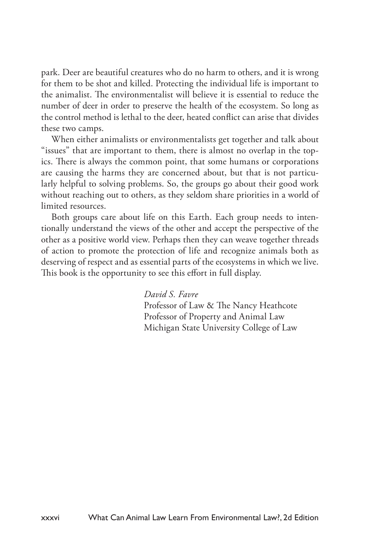park. Deer are beautiful creatures who do no harm to others, and it is wrong for them to be shot and killed. Protecting the individual life is important to the animalist. The environmentalist will believe it is essential to reduce the number of deer in order to preserve the health of the ecosystem. So long as the control method is lethal to the deer, heated conflict can arise that divides these two camps.

When either animalists or environmentalists get together and talk about "issues" that are important to them, there is almost no overlap in the topics. There is always the common point, that some humans or corporations are causing the harms they are concerned about, but that is not particularly helpful to solving problems. So, the groups go about their good work without reaching out to others, as they seldom share priorities in a world of limited resources.

Both groups care about life on this Earth. Each group needs to intentionally understand the views of the other and accept the perspective of the other as a positive world view. Perhaps then they can weave together threads of action to promote the protection of life and recognize animals both as deserving of respect and as essential parts of the ecosystems in which we live. This book is the opportunity to see this effort in full display.

*David S. Favre*

Professor of Law & The Nancy Heathcote Professor of Property and Animal Law Michigan State University College of Law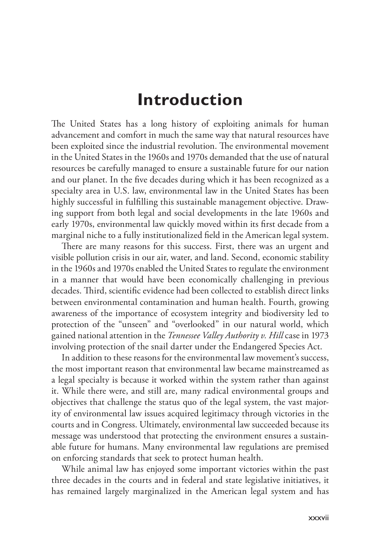## **Introduction**

The United States has a long history of exploiting animals for human advancement and comfort in much the same way that natural resources have been exploited since the industrial revolution. The environmental movement in the United States in the 1960s and 1970s demanded that the use of natural resources be carefully managed to ensure a sustainable future for our nation and our planet. In the five decades during which it has been recognized as a specialty area in U.S. law, environmental law in the United States has been highly successful in fulfilling this sustainable management objective. Drawing support from both legal and social developments in the late 1960s and early 1970s, environmental law quickly moved within its first decade from a marginal niche to a fully institutionalized field in the American legal system.

There are many reasons for this success. First, there was an urgent and visible pollution crisis in our air, water, and land. Second, economic stability in the 1960s and 1970s enabled the United States to regulate the environment in a manner that would have been economically challenging in previous decades. Third, scientific evidence had been collected to establish direct links between environmental contamination and human health. Fourth, growing awareness of the importance of ecosystem integrity and biodiversity led to protection of the "unseen" and "overlooked" in our natural world, which gained national attention in the *Tennessee Valley Authority v. Hill* case in 1973 involving protection of the snail darter under the Endangered Species Act.

In addition to these reasons for the environmental law movement's success, the most important reason that environmental law became mainstreamed as a legal specialty is because it worked within the system rather than against it. While there were, and still are, many radical environmental groups and objectives that challenge the status quo of the legal system, the vast majority of environmental law issues acquired legitimacy through victories in the courts and in Congress. Ultimately, environmental law succeeded because its message was understood that protecting the environment ensures a sustainable future for humans. Many environmental law regulations are premised on enforcing standards that seek to protect human health.

While animal law has enjoyed some important victories within the past three decades in the courts and in federal and state legislative initiatives, it has remained largely marginalized in the American legal system and has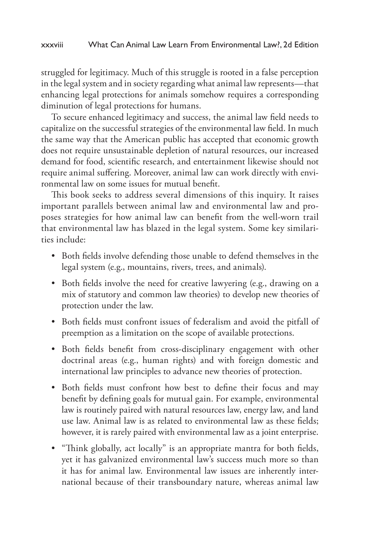struggled for legitimacy. Much of this struggle is rooted in a false perception in the legal system and in society regarding what animal law represents—that enhancing legal protections for animals somehow requires a corresponding diminution of legal protections for humans.

To secure enhanced legitimacy and success, the animal law field needs to capitalize on the successful strategies of the environmental law field. In much the same way that the American public has accepted that economic growth does not require unsustainable depletion of natural resources, our increased demand for food, scientific research, and entertainment likewise should not require animal suffering. Moreover, animal law can work directly with environmental law on some issues for mutual benefit.

This book seeks to address several dimensions of this inquiry. It raises important parallels between animal law and environmental law and proposes strategies for how animal law can benefit from the well-worn trail that environmental law has blazed in the legal system. Some key similarities include:

- Both fields involve defending those unable to defend themselves in the legal system (e.g., mountains, rivers, trees, and animals).
- Both fields involve the need for creative lawyering (e.g., drawing on a mix of statutory and common law theories) to develop new theories of protection under the law.
- Both fields must confront issues of federalism and avoid the pitfall of preemption as a limitation on the scope of available protections.
- Both fields benefit from cross-disciplinary engagement with other doctrinal areas (e.g., human rights) and with foreign domestic and international law principles to advance new theories of protection.
- Both fields must confront how best to define their focus and may benefit by defining goals for mutual gain. For example, environmental law is routinely paired with natural resources law, energy law, and land use law. Animal law is as related to environmental law as these fields; however, it is rarely paired with environmental law as a joint enterprise.
- "Think globally, act locally" is an appropriate mantra for both fields, yet it has galvanized environmental law's success much more so than it has for animal law. Environmental law issues are inherently international because of their transboundary nature, whereas animal law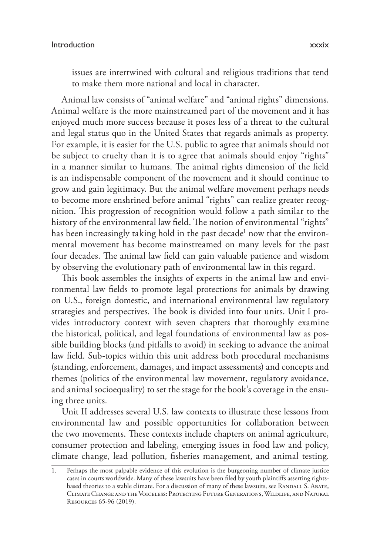issues are intertwined with cultural and religious traditions that tend to make them more national and local in character.

Animal law consists of "animal welfare" and "animal rights" dimensions. Animal welfare is the more mainstreamed part of the movement and it has enjoyed much more success because it poses less of a threat to the cultural and legal status quo in the United States that regards animals as property. For example, it is easier for the U.S. public to agree that animals should not be subject to cruelty than it is to agree that animals should enjoy "rights" in a manner similar to humans. The animal rights dimension of the field is an indispensable component of the movement and it should continue to grow and gain legitimacy. But the animal welfare movement perhaps needs to become more enshrined before animal "rights" can realize greater recognition. This progression of recognition would follow a path similar to the history of the environmental law field. The notion of environmental "rights" has been increasingly taking hold in the past decade<sup>1</sup> now that the environmental movement has become mainstreamed on many levels for the past four decades. The animal law field can gain valuable patience and wisdom by observing the evolutionary path of environmental law in this regard.

This book assembles the insights of experts in the animal law and environmental law fields to promote legal protections for animals by drawing on U.S., foreign domestic, and international environmental law regulatory strategies and perspectives. The book is divided into four units. Unit I provides introductory context with seven chapters that thoroughly examine the historical, political, and legal foundations of environmental law as possible building blocks (and pitfalls to avoid) in seeking to advance the animal law field. Sub-topics within this unit address both procedural mechanisms (standing, enforcement, damages, and impact assessments) and concepts and themes (politics of the environmental law movement, regulatory avoidance, and animal socioequality) to set the stage for the book's coverage in the ensuing three units.

Unit II addresses several U.S. law contexts to illustrate these lessons from environmental law and possible opportunities for collaboration between the two movements. These contexts include chapters on animal agriculture, consumer protection and labeling, emerging issues in food law and policy, climate change, lead pollution, fisheries management, and animal testing.

<sup>1.</sup> Perhaps the most palpable evidence of this evolution is the burgeoning number of climate justice cases in courts worldwide. Many of these lawsuits have been filed by youth plaintiffs asserting rightsbased theories to a stable climate. For a discussion of many of these lawsuits, see RANDALL S. ABATE, Climate Change and the Voiceless: Protecting Future Generations, Wildlife, and Natural Resources 65-96 (2019).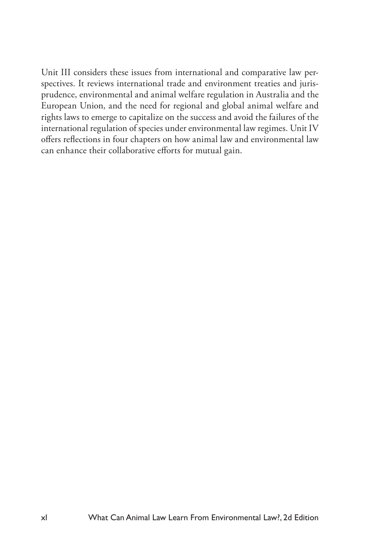Unit III considers these issues from international and comparative law perspectives. It reviews international trade and environment treaties and jurisprudence, environmental and animal welfare regulation in Australia and the European Union, and the need for regional and global animal welfare and rights laws to emerge to capitalize on the success and avoid the failures of the international regulation of species under environmental law regimes. Unit IV offers reflections in four chapters on how animal law and environmental law can enhance their collaborative efforts for mutual gain.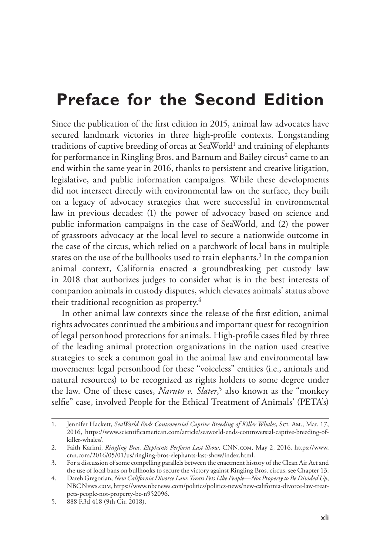## **Preface for the Second Edition**

Since the publication of the first edition in 2015, animal law advocates have secured landmark victories in three high-profile contexts. Longstanding traditions of captive breeding of orcas at SeaWorld<sup>1</sup> and training of elephants for performance in Ringling Bros. and Barnum and Bailey circus<sup>2</sup> came to an end within the same year in 2016, thanks to persistent and creative litigation, legislative, and public information campaigns. While these developments did not intersect directly with environmental law on the surface, they built on a legacy of advocacy strategies that were successful in environmental law in previous decades: (1) the power of advocacy based on science and public information campaigns in the case of SeaWorld, and (2) the power of grassroots advocacy at the local level to secure a nationwide outcome in the case of the circus, which relied on a patchwork of local bans in multiple states on the use of the bullhooks used to train elephants.<sup>3</sup> In the companion animal context, California enacted a groundbreaking pet custody law in 2018 that authorizes judges to consider what is in the best interests of companion animals in custody disputes, which elevates animals' status above their traditional recognition as property.4

In other animal law contexts since the release of the first edition, animal rights advocates continued the ambitious and important quest for recognition of legal personhood protections for animals. High-profile cases filed by three of the leading animal protection organizations in the nation used creative strategies to seek a common goal in the animal law and environmental law movements: legal personhood for these "voiceless" entities (i.e., animals and natural resources) to be recognized as rights holders to some degree under the law. One of these cases, *Naruto v. Slater*, 5 also known as the "monkey selfie" case, involved People for the Ethical Treatment of Animals' (PETA's)

<sup>1.</sup> Jennifer Hackett, *SeaWorld Ends Controversial Captive Breeding of Killer Whales*, Sci. Am., Mar. 17, 2016, https://www.scientificamerican.com/article/seaworld-ends-controversial-captive-breeding-ofkiller-whales/.

<sup>2.</sup> Faith Karimi, *Ringling Bros. Elephants Perform Last Show*, CNN.com, May 2, 2016, https://www. cnn.com/2016/05/01/us/ringling-bros-elephants-last-show/index.html.

<sup>3.</sup> For a discussion of some compelling parallels between the enactment history of the Clean Air Act and the use of local bans on bullhooks to secure the victory against Ringling Bros. circus, see Chapter 13.

<sup>4.</sup> Dareh Gregorian, *New California Divorce Law: Treats Pets Like People—Not Property to Be Divided Up*, NBC News.com, https://www.nbcnews.com/politics/politics-news/new-california-divorce-law-treatpets-people-not-property-be-n952096.

<sup>5.</sup> 888 F.3d 418 (9th Cir. 2018).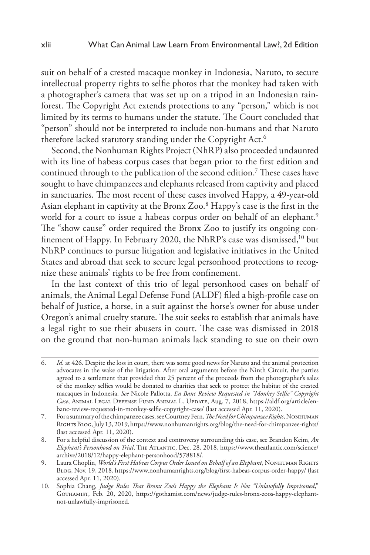suit on behalf of a crested macaque monkey in Indonesia, Naruto, to secure intellectual property rights to selfie photos that the monkey had taken with a photographer's camera that was set up on a tripod in an Indonesian rainforest. The Copyright Act extends protections to any "person," which is not limited by its terms to humans under the statute. The Court concluded that "person" should not be interpreted to include non-humans and that Naruto therefore lacked statutory standing under the Copyright Act.<sup>6</sup>

Second, the Nonhuman Rights Project (NhRP) also proceeded undaunted with its line of habeas corpus cases that began prior to the first edition and continued through to the publication of the second edition.7 These cases have sought to have chimpanzees and elephants released from captivity and placed in sanctuaries. The most recent of these cases involved Happy, a 49-year-old Asian elephant in captivity at the Bronx Zoo.<sup>8</sup> Happy's case is the first in the world for a court to issue a habeas corpus order on behalf of an elephant.<sup>9</sup> The "show cause" order required the Bronx Zoo to justify its ongoing confinement of Happy. In February 2020, the NhRP's case was dismissed,10 but NhRP continues to pursue litigation and legislative initiatives in the United States and abroad that seek to secure legal personhood protections to recognize these animals' rights to be free from confinement.

In the last context of this trio of legal personhood cases on behalf of animals, the Animal Legal Defense Fund (ALDF) filed a high-profile case on behalf of Justice, a horse, in a suit against the horse's owner for abuse under Oregon's animal cruelty statute. The suit seeks to establish that animals have a legal right to sue their abusers in court. The case was dismissed in 2018 on the ground that non-human animals lack standing to sue on their own

<sup>6.</sup> *Id.* at 426. Despite the loss in court, there was some good news for Naruto and the animal protection advocates in the wake of the litigation. After oral arguments before the Ninth Circuit, the parties agreed to a settlement that provided that 25 percent of the proceeds from the photographer's sales of the monkey selfies would be donated to charities that seek to protect the habitat of the crested macaques in Indonesia. *See* Nicole Pallotta, *En Banc Review Requested in "Monkey Selfie" Copyright Case*, Animal Legal Defense Fund Animal L. Update, Aug. 7, 2018, https://aldf.org/article/enbanc-review-requested-in-monkey-selfie-copyright-case/ (last accessed Apr. 11, 2020).

<sup>7.</sup> For a summary of the chimpanzee cases, see Courtney Fern, *The Need for Chimpanzee Rights*, Nonhuman Rights Blog, July 13, 2019, https://www.nonhumanrights.org/blog/the-need-for-chimpanzee-rights/ (last accessed Apr. 11, 2020).

<sup>8.</sup> For a helpful discussion of the context and controversy surrounding this case, see Brandon Keim, *An Elephant's Personhood on Trial*, The Atlantic, Dec. 28, 2018, https://www.theatlantic.com/science/ archive/2018/12/happy-elephant-personhood/578818/.

<sup>9.</sup> Laura Choplin, *World's First Habeas Corpus Order Issued on Behalf of an Elephant*, NONHUMAN RIGHTS Blog, Nov. 19, 2018, https://www.nonhumanrights.org/blog/first-habeas-corpus-order-happy/ (last accessed Apr. 11, 2020).

<sup>10.</sup> Sophia Chang, *Judge Rules That Bronx Zoo's Happy the Elephant Is Not "Unlawfully Imprisoned*," Gothamist, Feb. 20, 2020, https://gothamist.com/news/judge-rules-bronx-zoos-happy-elephantnot-unlawfully-imprisoned.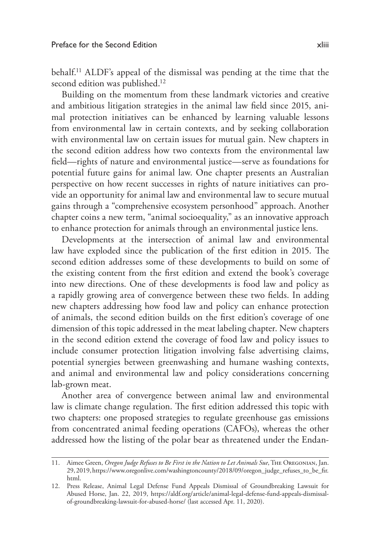behalf.11 ALDF's appeal of the dismissal was pending at the time that the second edition was published.<sup>12</sup>

Building on the momentum from these landmark victories and creative and ambitious litigation strategies in the animal law field since 2015, animal protection initiatives can be enhanced by learning valuable lessons from environmental law in certain contexts, and by seeking collaboration with environmental law on certain issues for mutual gain. New chapters in the second edition address how two contexts from the environmental law field—rights of nature and environmental justice—serve as foundations for potential future gains for animal law. One chapter presents an Australian perspective on how recent successes in rights of nature initiatives can provide an opportunity for animal law and environmental law to secure mutual gains through a "comprehensive ecosystem personhood" approach. Another chapter coins a new term, "animal socioequality," as an innovative approach to enhance protection for animals through an environmental justice lens.

Developments at the intersection of animal law and environmental law have exploded since the publication of the first edition in 2015. The second edition addresses some of these developments to build on some of the existing content from the first edition and extend the book's coverage into new directions. One of these developments is food law and policy as a rapidly growing area of convergence between these two fields. In adding new chapters addressing how food law and policy can enhance protection of animals, the second edition builds on the first edition's coverage of one dimension of this topic addressed in the meat labeling chapter. New chapters in the second edition extend the coverage of food law and policy issues to include consumer protection litigation involving false advertising claims, potential synergies between greenwashing and humane washing contexts, and animal and environmental law and policy considerations concerning lab-grown meat.

Another area of convergence between animal law and environmental law is climate change regulation. The first edition addressed this topic with two chapters: one proposed strategies to regulate greenhouse gas emissions from concentrated animal feeding operations (CAFOs), whereas the other addressed how the listing of the polar bear as threatened under the Endan-

<sup>11.</sup> Aimee Green, *Oregon Judge Refuses to Be First in the Nation to Let Animals Sue*, The Oregonian, Jan. 29, 2019, https://www.oregonlive.com/washingtoncounty/2018/09/oregon\_judge\_refuses\_to\_be\_fir. html.

<sup>12.</sup> Press Release, Animal Legal Defense Fund Appeals Dismissal of Groundbreaking Lawsuit for Abused Horse, Jan. 22, 2019, https://aldf.org/article/animal-legal-defense-fund-appeals-dismissalof-groundbreaking-lawsuit-for-abused-horse/ (last accessed Apr. 11, 2020).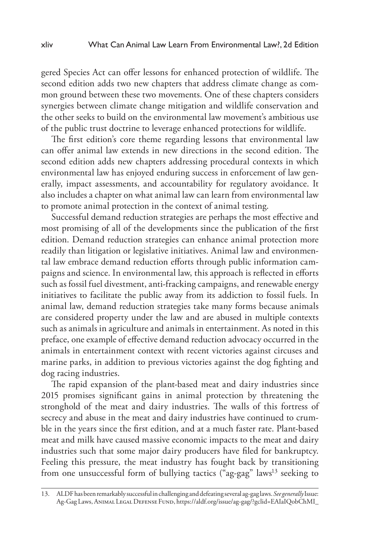gered Species Act can offer lessons for enhanced protection of wildlife. The second edition adds two new chapters that address climate change as common ground between these two movements. One of these chapters considers synergies between climate change mitigation and wildlife conservation and the other seeks to build on the environmental law movement's ambitious use of the public trust doctrine to leverage enhanced protections for wildlife.

The first edition's core theme regarding lessons that environmental law can offer animal law extends in new directions in the second edition. The second edition adds new chapters addressing procedural contexts in which environmental law has enjoyed enduring success in enforcement of law generally, impact assessments, and accountability for regulatory avoidance. It also includes a chapter on what animal law can learn from environmental law to promote animal protection in the context of animal testing.

Successful demand reduction strategies are perhaps the most effective and most promising of all of the developments since the publication of the first edition. Demand reduction strategies can enhance animal protection more readily than litigation or legislative initiatives. Animal law and environmental law embrace demand reduction efforts through public information campaigns and science. In environmental law, this approach is reflected in efforts such as fossil fuel divestment, anti-fracking campaigns, and renewable energy initiatives to facilitate the public away from its addiction to fossil fuels. In animal law, demand reduction strategies take many forms because animals are considered property under the law and are abused in multiple contexts such as animals in agriculture and animals in entertainment. As noted in this preface, one example of effective demand reduction advocacy occurred in the animals in entertainment context with recent victories against circuses and marine parks, in addition to previous victories against the dog fighting and dog racing industries.

The rapid expansion of the plant-based meat and dairy industries since 2015 promises significant gains in animal protection by threatening the stronghold of the meat and dairy industries. The walls of this fortress of secrecy and abuse in the meat and dairy industries have continued to crumble in the years since the first edition, and at a much faster rate. Plant-based meat and milk have caused massive economic impacts to the meat and dairy industries such that some major dairy producers have filed for bankruptcy. Feeling this pressure, the meat industry has fought back by transitioning from one unsuccessful form of bullying tactics ("ag-gag" laws<sup>13</sup> seeking to

<sup>13.</sup> ALDF has been remarkably successful in challenging and defeating several ag-gag laws. *See generally* Issue: Ag-Gag Laws, Animal Legal Defense Fund, https://aldf.org/issue/ag-gag/?gclid=EAIaIQobChMI\_